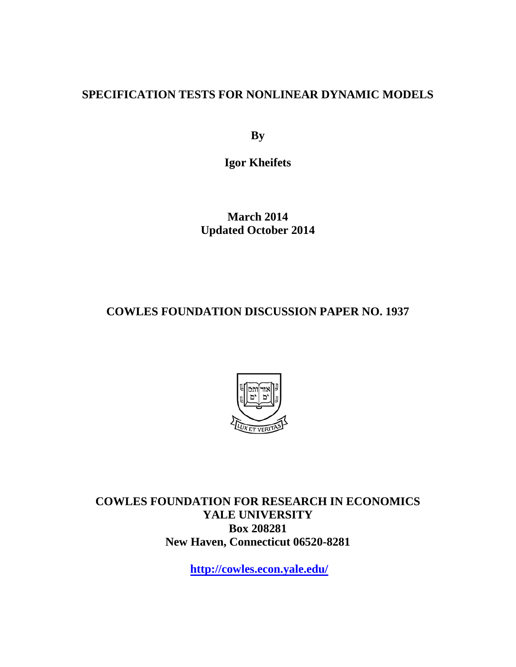## **SPECIFICATION TESTS FOR NONLINEAR DYNAMIC MODELS**

**By**

**Igor Kheifets**

**March 2014 Updated October 2014**

**COWLES FOUNDATION DISCUSSION PAPER NO. 1937**



**COWLES FOUNDATION FOR RESEARCH IN ECONOMICS YALE UNIVERSITY Box 208281 New Haven, Connecticut 06520-8281**

**<http://cowles.econ.yale.edu/>**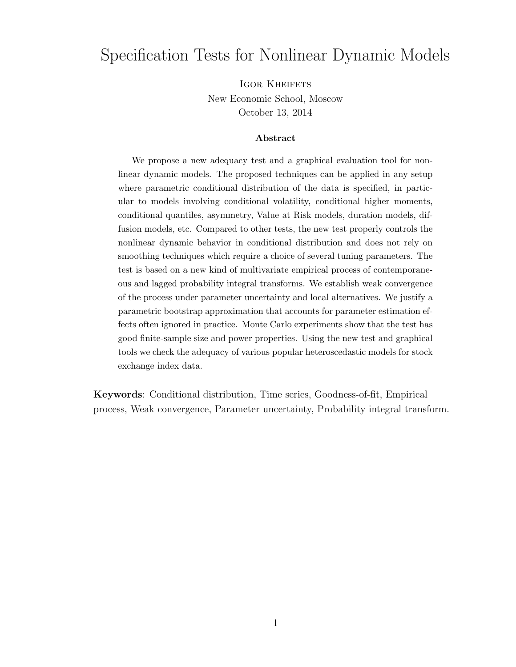## Specification Tests for Nonlinear Dynamic Models

IGOR KHEIFETS New Economic School, Moscow October 13, 2014

#### Abstract

We propose a new adequacy test and a graphical evaluation tool for nonlinear dynamic models. The proposed techniques can be applied in any setup where parametric conditional distribution of the data is specified, in particular to models involving conditional volatility, conditional higher moments, conditional quantiles, asymmetry, Value at Risk models, duration models, diffusion models, etc. Compared to other tests, the new test properly controls the nonlinear dynamic behavior in conditional distribution and does not rely on smoothing techniques which require a choice of several tuning parameters. The test is based on a new kind of multivariate empirical process of contemporaneous and lagged probability integral transforms. We establish weak convergence of the process under parameter uncertainty and local alternatives. We justify a parametric bootstrap approximation that accounts for parameter estimation effects often ignored in practice. Monte Carlo experiments show that the test has good finite-sample size and power properties. Using the new test and graphical tools we check the adequacy of various popular heteroscedastic models for stock exchange index data.

Keywords: Conditional distribution, Time series, Goodness-of-fit, Empirical process, Weak convergence, Parameter uncertainty, Probability integral transform.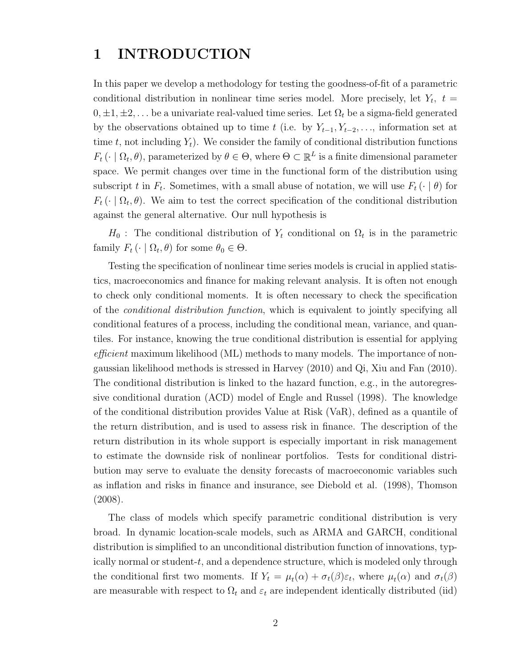## 1 INTRODUCTION

In this paper we develop a methodology for testing the goodness-of-fit of a parametric conditional distribution in nonlinear time series model. More precisely, let  $Y_t$ ,  $t =$  $0, \pm 1, \pm 2, \ldots$  be a univariate real-valued time series. Let  $\Omega_t$  be a sigma-field generated by the observations obtained up to time t (i.e. by  $Y_{t-1}, Y_{t-2}, \ldots$ , information set at time t, not including  $Y_t$ ). We consider the family of conditional distribution functions  $F_t(\cdot | \Omega_t, \theta)$ , parameterized by  $\theta \in \Theta$ , where  $\Theta \subset \mathbb{R}^L$  is a finite dimensional parameter space. We permit changes over time in the functional form of the distribution using subscript t in  $F_t$ . Sometimes, with a small abuse of notation, we will use  $F_t(\cdot | \theta)$  for  $F_t(\cdot | \Omega_t, \theta)$ . We aim to test the correct specification of the conditional distribution against the general alternative. Our null hypothesis is

 $H_0$ : The conditional distribution of  $Y_t$  conditional on  $\Omega_t$  is in the parametric family  $F_t \left( \cdot \mid \Omega_t, \theta \right)$  for some  $\theta_0 \in \Theta$ .

Testing the specification of nonlinear time series models is crucial in applied statistics, macroeconomics and finance for making relevant analysis. It is often not enough to check only conditional moments. It is often necessary to check the specification of the conditional distribution function, which is equivalent to jointly specifying all conditional features of a process, including the conditional mean, variance, and quantiles. For instance, knowing the true conditional distribution is essential for applying efficient maximum likelihood (ML) methods to many models. The importance of nongaussian likelihood methods is stressed in Harvey (2010) and Qi, Xiu and Fan (2010). The conditional distribution is linked to the hazard function, e.g., in the autoregressive conditional duration (ACD) model of Engle and Russel (1998). The knowledge of the conditional distribution provides Value at Risk (VaR), defined as a quantile of the return distribution, and is used to assess risk in finance. The description of the return distribution in its whole support is especially important in risk management to estimate the downside risk of nonlinear portfolios. Tests for conditional distribution may serve to evaluate the density forecasts of macroeconomic variables such as inflation and risks in finance and insurance, see Diebold et al. (1998), Thomson (2008).

The class of models which specify parametric conditional distribution is very broad. In dynamic location-scale models, such as ARMA and GARCH, conditional distribution is simplified to an unconditional distribution function of innovations, typically normal or student-t, and a dependence structure, which is modeled only through the conditional first two moments. If  $Y_t = \mu_t(\alpha) + \sigma_t(\beta)\varepsilon_t$ , where  $\mu_t(\alpha)$  and  $\sigma_t(\beta)$ are measurable with respect to  $\Omega_t$  and  $\varepsilon_t$  are independent identically distributed (iid)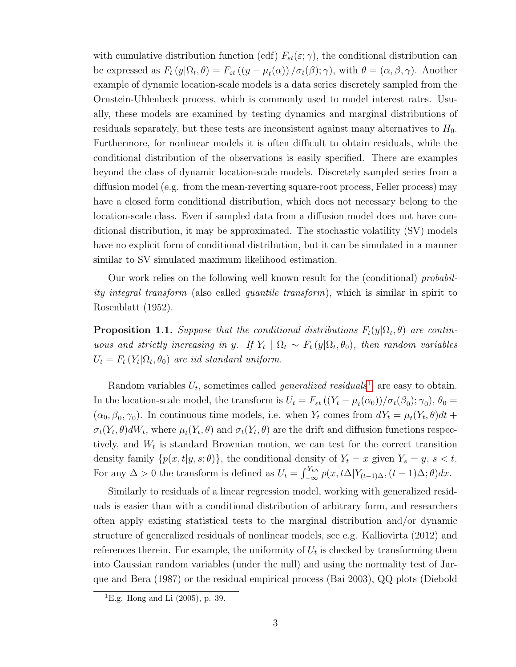with cumulative distribution function (cdf)  $F_{\varepsilon t}(\varepsilon;\gamma)$ , the conditional distribution can be expressed as  $F_t(y|\Omega_t, \theta) = F_{\varepsilon t}((y - \mu_t(\alpha)) / \sigma_t(\beta); \gamma)$ , with  $\theta = (\alpha, \beta, \gamma)$ . Another example of dynamic location-scale models is a data series discretely sampled from the Ornstein-Uhlenbeck process, which is commonly used to model interest rates. Usually, these models are examined by testing dynamics and marginal distributions of residuals separately, but these tests are inconsistent against many alternatives to  $H_0$ . Furthermore, for nonlinear models it is often difficult to obtain residuals, while the conditional distribution of the observations is easily specified. There are examples beyond the class of dynamic location-scale models. Discretely sampled series from a diffusion model (e.g. from the mean-reverting square-root process, Feller process) may have a closed form conditional distribution, which does not necessary belong to the location-scale class. Even if sampled data from a diffusion model does not have conditional distribution, it may be approximated. The stochastic volatility (SV) models have no explicit form of conditional distribution, but it can be simulated in a manner similar to SV simulated maximum likelihood estimation.

Our work relies on the following well known result for the (conditional) probability integral transform (also called quantile transform), which is similar in spirit to Rosenblatt (1952).

<span id="page-3-1"></span>**Proposition 1.1.** Suppose that the conditional distributions  $F_t(y|\Omega_t, \theta)$  are continuous and strictly increasing in y. If  $Y_t | \Omega_t \sim F_t(y | \Omega_t, \theta_0)$ , then random variables  $U_t = F_t(Y_t | \Omega_t, \theta_0)$  are iid standard uniform.

Random variables  $U_t$ , sometimes called *generalized residuals*<sup>[1](#page-3-0)</sup>, are easy to obtain. In the location-scale model, the transform is  $U_t = F_{\varepsilon t} ((Y_t - \mu_t(\alpha_0))/\sigma_t(\beta_0); \gamma_0)$ ,  $\theta_0 =$  $(\alpha_0, \beta_0, \gamma_0)$ . In continuous time models, i.e. when  $Y_t$  comes from  $dY_t = \mu_t(Y_t, \theta)dt +$  $\sigma_t(Y_t, \theta) dW_t$ , where  $\mu_t(Y_t, \theta)$  and  $\sigma_t(Y_t, \theta)$  are the drift and diffusion functions respectively, and  $W_t$  is standard Brownian motion, we can test for the correct transition density family  $\{p(x, t|y, s; \theta)\}\$ , the conditional density of  $Y_t = x$  given  $Y_s = y$ ,  $s < t$ . For any  $\Delta > 0$  the transform is defined as  $U_t = \int_{-\infty}^{Y_{t\Delta}} p(x, t\Delta | Y_{(t-1)\Delta}, (t-1)\Delta; \theta) dx$ .

Similarly to residuals of a linear regression model, working with generalized residuals is easier than with a conditional distribution of arbitrary form, and researchers often apply existing statistical tests to the marginal distribution and/or dynamic structure of generalized residuals of nonlinear models, see e.g. Kalliovirta (2012) and references therein. For example, the uniformity of  $U_t$  is checked by transforming them into Gaussian random variables (under the null) and using the normality test of Jarque and Bera (1987) or the residual empirical process (Bai 2003), QQ plots (Diebold

<span id="page-3-0"></span><sup>&</sup>lt;sup>1</sup>E.g. Hong and Li  $(2005)$ , p. 39.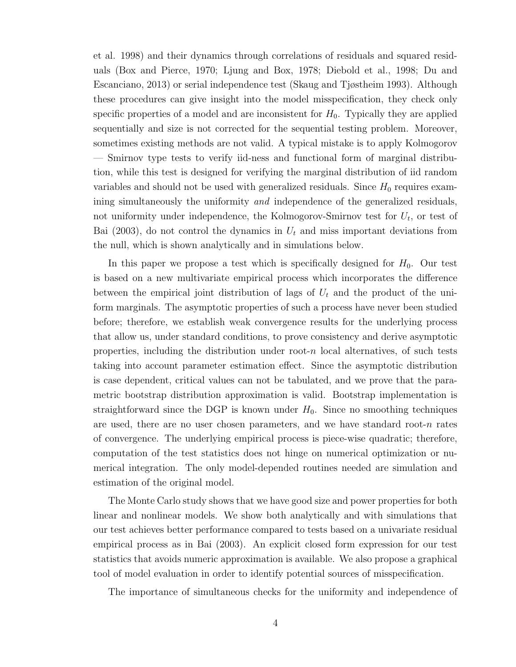et al. 1998) and their dynamics through correlations of residuals and squared residuals (Box and Pierce, 1970; Ljung and Box, 1978; Diebold et al., 1998; Du and Escanciano, 2013) or serial independence test (Skaug and Tjøstheim 1993). Although these procedures can give insight into the model misspecification, they check only specific properties of a model and are inconsistent for  $H_0$ . Typically they are applied sequentially and size is not corrected for the sequential testing problem. Moreover, sometimes existing methods are not valid. A typical mistake is to apply Kolmogorov — Smirnov type tests to verify iid-ness and functional form of marginal distribution, while this test is designed for verifying the marginal distribution of iid random variables and should not be used with generalized residuals. Since  $H_0$  requires examining simultaneously the uniformity *and* independence of the generalized residuals, not uniformity under independence, the Kolmogorov-Smirnov test for  $U_t$ , or test of Bai (2003), do not control the dynamics in  $U_t$  and miss important deviations from the null, which is shown analytically and in simulations below.

In this paper we propose a test which is specifically designed for  $H_0$ . Our test is based on a new multivariate empirical process which incorporates the difference between the empirical joint distribution of lags of  $U_t$  and the product of the uniform marginals. The asymptotic properties of such a process have never been studied before; therefore, we establish weak convergence results for the underlying process that allow us, under standard conditions, to prove consistency and derive asymptotic properties, including the distribution under root-n local alternatives, of such tests taking into account parameter estimation effect. Since the asymptotic distribution is case dependent, critical values can not be tabulated, and we prove that the parametric bootstrap distribution approximation is valid. Bootstrap implementation is straightforward since the DGP is known under  $H_0$ . Since no smoothing techniques are used, there are no user chosen parameters, and we have standard root- $n$  rates of convergence. The underlying empirical process is piece-wise quadratic; therefore, computation of the test statistics does not hinge on numerical optimization or numerical integration. The only model-depended routines needed are simulation and estimation of the original model.

The Monte Carlo study shows that we have good size and power properties for both linear and nonlinear models. We show both analytically and with simulations that our test achieves better performance compared to tests based on a univariate residual empirical process as in Bai (2003). An explicit closed form expression for our test statistics that avoids numeric approximation is available. We also propose a graphical tool of model evaluation in order to identify potential sources of misspecification.

The importance of simultaneous checks for the uniformity and independence of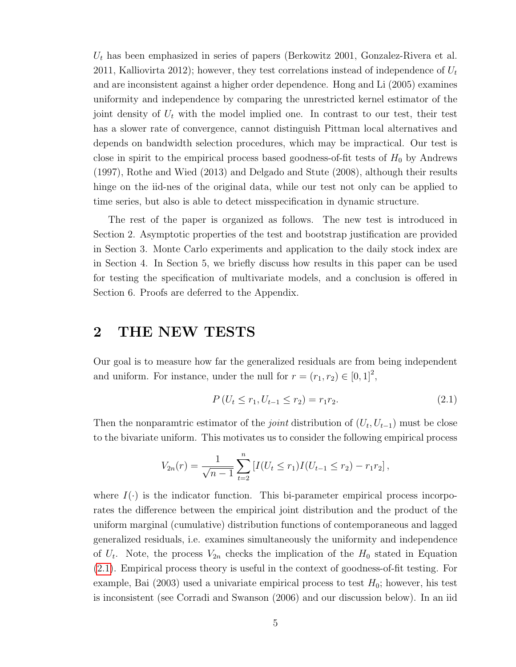$U_t$  has been emphasized in series of papers (Berkowitz 2001, Gonzalez-Rivera et al. 2011, Kalliovirta 2012); however, they test correlations instead of independence of  $U_t$ and are inconsistent against a higher order dependence. Hong and Li (2005) examines uniformity and independence by comparing the unrestricted kernel estimator of the joint density of  $U_t$  with the model implied one. In contrast to our test, their test has a slower rate of convergence, cannot distinguish Pittman local alternatives and depends on bandwidth selection procedures, which may be impractical. Our test is close in spirit to the empirical process based goodness-of-fit tests of  $H_0$  by Andrews (1997), Rothe and Wied (2013) and Delgado and Stute (2008), although their results hinge on the iid-nes of the original data, while our test not only can be applied to time series, but also is able to detect misspecification in dynamic structure.

The rest of the paper is organized as follows. The new test is introduced in Section 2. Asymptotic properties of the test and bootstrap justification are provided in Section 3. Monte Carlo experiments and application to the daily stock index are in Section 4. In Section 5, we briefly discuss how results in this paper can be used for testing the specification of multivariate models, and a conclusion is offered in Section 6. Proofs are deferred to the Appendix.

## 2 THE NEW TESTS

Our goal is to measure how far the generalized residuals are from being independent and uniform. For instance, under the null for  $r = (r_1, r_2) \in [0, 1]^2$ ,

<span id="page-5-0"></span>
$$
P(U_t \le r_1, U_{t-1} \le r_2) = r_1 r_2. \tag{2.1}
$$

Then the nonparamtric estimator of the *joint* distribution of  $(U_t, U_{t-1})$  must be close to the bivariate uniform. This motivates us to consider the following empirical process

$$
V_{2n}(r) = \frac{1}{\sqrt{n-1}} \sum_{t=2}^{n} \left[ I(U_t \leq r_1) I(U_{t-1} \leq r_2) - r_1 r_2 \right],
$$

where  $I(\cdot)$  is the indicator function. This bi-parameter empirical process incorporates the difference between the empirical joint distribution and the product of the uniform marginal (cumulative) distribution functions of contemporaneous and lagged generalized residuals, i.e. examines simultaneously the uniformity and independence of  $U_t$ . Note, the process  $V_{2n}$  checks the implication of the  $H_0$  stated in Equation [\(2.1\)](#page-5-0). Empirical process theory is useful in the context of goodness-of-fit testing. For example, Bai (2003) used a univariate empirical process to test  $H_0$ ; however, his test is inconsistent (see Corradi and Swanson (2006) and our discussion below). In an iid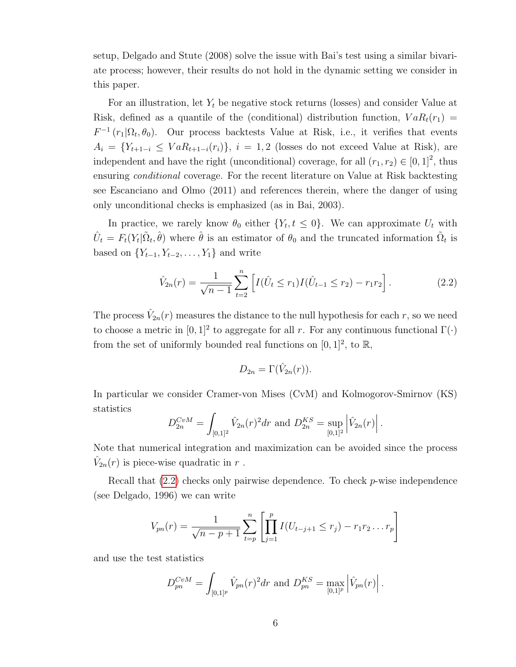setup, Delgado and Stute (2008) solve the issue with Bai's test using a similar bivariate process; however, their results do not hold in the dynamic setting we consider in this paper.

For an illustration, let  $Y_t$  be negative stock returns (losses) and consider Value at Risk, defined as a quantile of the (conditional) distribution function,  $VaR_t(r_1)$  =  $F^{-1}(r_1|\Omega_t, \theta_0)$ . Our process backtests Value at Risk, i.e., it verifies that events  $A_i = \{Y_{t+1-i} \leq VaR_{t+1-i}(r_i)\}, i = 1, 2$  (losses do not exceed Value at Risk), are independent and have the right (unconditional) coverage, for all  $(r_1, r_2) \in [0, 1]^2$ , thus ensuring conditional coverage. For the recent literature on Value at Risk backtesting see Escanciano and Olmo (2011) and references therein, where the danger of using only unconditional checks is emphasized (as in Bai, 2003).

In practice, we rarely know  $\theta_0$  either  $\{Y_t, t \leq 0\}$ . We can approximate  $U_t$  with  $\hat{U}_t = F_t(Y_t | \tilde{\Omega}_t, \hat{\theta})$  where  $\hat{\theta}$  is an estimator of  $\theta_0$  and the truncated information  $\tilde{\Omega}_t$  is based on  ${Y_{t-1}, Y_{t-2}, \ldots, Y_1}$  and write

<span id="page-6-0"></span>
$$
\hat{V}_{2n}(r) = \frac{1}{\sqrt{n-1}} \sum_{t=2}^{n} \left[ I(\hat{U}_t \le r_1) I(\hat{U}_{t-1} \le r_2) - r_1 r_2 \right].
$$
\n(2.2)

The process  $\hat{V}_{2n}(r)$  measures the distance to the null hypothesis for each r, so we need to choose a metric in  $[0,1]^2$  to aggregate for all r. For any continuous functional  $\Gamma(\cdot)$ from the set of uniformly bounded real functions on  $[0, 1]^2$ , to  $\mathbb{R}$ ,

$$
D_{2n} = \Gamma(\hat{V}_{2n}(r)).
$$

In particular we consider Cramer-von Mises (CvM) and Kolmogorov-Smirnov (KS) statistics

$$
D_{2n}^{CvM} = \int_{[0,1]^2} \hat{V}_{2n}(r)^2 dr \text{ and } D_{2n}^{KS} = \sup_{[0,1]^2} \left| \hat{V}_{2n}(r) \right|.
$$

Note that numerical integration and maximization can be avoided since the process  $\hat{V}_{2n}(r)$  is piece-wise quadratic in  $r$ .

Recall that  $(2.2)$  checks only pairwise dependence. To check p-wise independence (see Delgado, 1996) we can write

$$
V_{pn}(r) = \frac{1}{\sqrt{n-p+1}} \sum_{t=p}^{n} \left[ \prod_{j=1}^{p} I(U_{t-j+1} \leq r_j) - r_1 r_2 \dots r_p \right]
$$

and use the test statistics

$$
D_{pn}^{CvM} = \int_{[0,1]^{p}} \hat{V}_{pn}(r)^{2} dr \text{ and } D_{pn}^{KS} = \max_{[0,1]^{p}} \left| \hat{V}_{pn}(r) \right|.
$$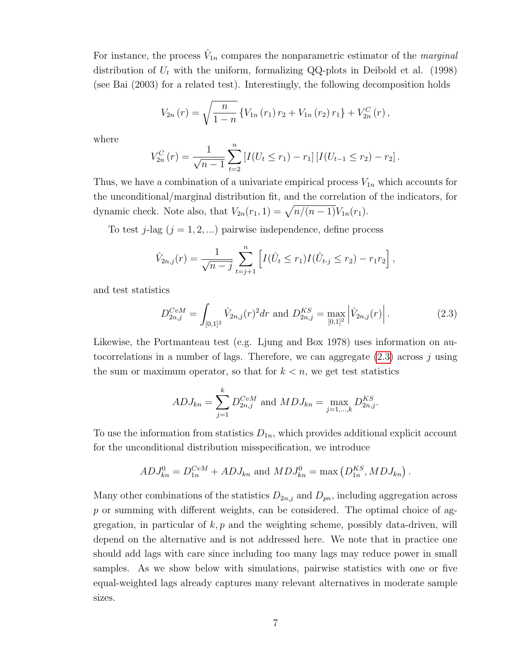For instance, the process  $\hat{V}_{1n}$  compares the nonparametric estimator of the *marginal* distribution of  $U_t$  with the uniform, formalizing QQ-plots in Deibold et al. (1998) (see Bai (2003) for a related test). Interestingly, the following decomposition holds

$$
V_{2n}(r) = \sqrt{\frac{n}{1-n}} \left\{ V_{1n}(r_1) r_2 + V_{1n}(r_2) r_1 \right\} + V_{2n}^C(r) ,
$$

where

$$
V_{2n}^{C}(r) = \frac{1}{\sqrt{n-1}} \sum_{t=2}^{n} \left[ I(U_t \leq r_1) - r_1 \right] \left[ I(U_{t-1} \leq r_2) - r_2 \right].
$$

Thus, we have a combination of a univariate empirical process  $V_{1n}$  which accounts for the unconditional/marginal distribution fit, and the correlation of the indicators, for dynamic check. Note also, that  $V_{2n}(r_1, 1) = \sqrt{n/(n-1)}V_{1n}(r_1)$ .

To test j-lag  $(j = 1, 2, ...)$  pairwise independence, define process

$$
\hat{V}_{2n,j}(r) = \frac{1}{\sqrt{n-j}} \sum_{t=j+1}^{n} \left[ I(\hat{U}_t \le r_1) I(\hat{U}_{t-j} \le r_2) - r_1 r_2 \right],
$$

and test statistics

<span id="page-7-0"></span>
$$
D_{2n,j}^{CvM} = \int_{[0,1]^2} \hat{V}_{2n,j}(r)^2 dr \text{ and } D_{2n,j}^{KS} = \max_{[0,1]^2} \left| \hat{V}_{2n,j}(r) \right|.
$$
 (2.3)

Likewise, the Portmanteau test (e.g. Ljung and Box 1978) uses information on autocorrelations in a number of lags. Therefore, we can aggregate  $(2.3)$  across j using the sum or maximum operator, so that for  $k < n$ , we get test statistics

$$
ADJ_{kn} = \sum_{j=1}^{k} D_{2n,j}^{CvM}
$$
 and  $MDJ_{kn} = \max_{j=1,\dots,k} D_{2n,j}^{KS}$ .

To use the information from statistics  $D_{1n}$ , which provides additional explicit account for the unconditional distribution misspecification, we introduce

$$
ADJ_{kn}^0 = D_{1n}^{CvM} + ADJ_{kn}
$$
 and  $MDJ_{kn}^0 = \max (D_{1n}^{KS}, MDJ_{kn}).$ 

Many other combinations of the statistics  $D_{2n,j}$  and  $D_{pn}$ , including aggregation across  $p$  or summing with different weights, can be considered. The optimal choice of aggregation, in particular of  $k, p$  and the weighting scheme, possibly data-driven, will depend on the alternative and is not addressed here. We note that in practice one should add lags with care since including too many lags may reduce power in small samples. As we show below with simulations, pairwise statistics with one or five equal-weighted lags already captures many relevant alternatives in moderate sample sizes.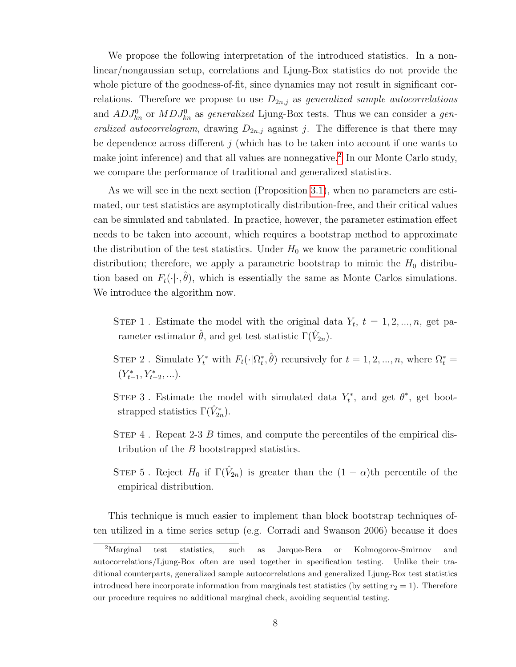We propose the following interpretation of the introduced statistics. In a nonlinear/nongaussian setup, correlations and Ljung-Box statistics do not provide the whole picture of the goodness-of-fit, since dynamics may not result in significant correlations. Therefore we propose to use  $D_{2n,j}$  as generalized sample autocorrelations and  $ADJ_{kn}^0$  or  $MDJ_{kn}^0$  as generalized Ljung-Box tests. Thus we can consider a generalized autocorrelogram, drawing  $D_{2n,j}$  against j. The difference is that there may be dependence across different  $j$  (which has to be taken into account if one wants to make joint inference) and that all values are nonnegative.<sup>[2](#page-8-0)</sup> In our Monte Carlo study, we compare the performance of traditional and generalized statistics.

As we will see in the next section (Proposition [3.1\)](#page-3-1), when no parameters are estimated, our test statistics are asymptotically distribution-free, and their critical values can be simulated and tabulated. In practice, however, the parameter estimation effect needs to be taken into account, which requires a bootstrap method to approximate the distribution of the test statistics. Under  $H_0$  we know the parametric conditional distribution; therefore, we apply a parametric bootstrap to mimic the  $H_0$  distribution based on  $F_t(\cdot|\cdot,\hat{\theta})$ , which is essentially the same as Monte Carlos simulations. We introduce the algorithm now.

STEP 1. Estimate the model with the original data  $Y_t$ ,  $t = 1, 2, ..., n$ , get parameter estimator  $\hat{\theta}$ , and get test statistic  $\Gamma(\hat{V}_{2n})$ .

- STEP 2. Simulate  $Y_t^*$  with  $F_t(\cdot|\Omega_t^*, \hat{\theta})$  recursively for  $t = 1, 2, ..., n$ , where  $\Omega_t^* =$  $(Y_{t-1}^*, Y_{t-2}^*, \ldots).$
- STEP 3. Estimate the model with simulated data  $Y_t^*$ , and get  $\theta^*$ , get bootstrapped statistics  $\Gamma(\hat{V}_{2n}^*)$ .
- STEP 4. Repeat 2-3 B times, and compute the percentiles of the empirical distribution of the B bootstrapped statistics.
- STEP 5. Reject  $H_0$  if  $\Gamma(\hat{V}_{2n})$  is greater than the  $(1 \alpha)$ th percentile of the empirical distribution.

This technique is much easier to implement than block bootstrap techniques often utilized in a time series setup (e.g. Corradi and Swanson 2006) because it does

<span id="page-8-0"></span><sup>&</sup>lt;sup>2</sup>Marginal test statistics, such as Jarque-Bera or Kolmogorov-Smirnov and autocorrelations/Ljung-Box often are used together in specification testing. Unlike their traditional counterparts, generalized sample autocorrelations and generalized Ljung-Box test statistics introduced here incorporate information from marginals test statistics (by setting  $r_2 = 1$ ). Therefore our procedure requires no additional marginal check, avoiding sequential testing.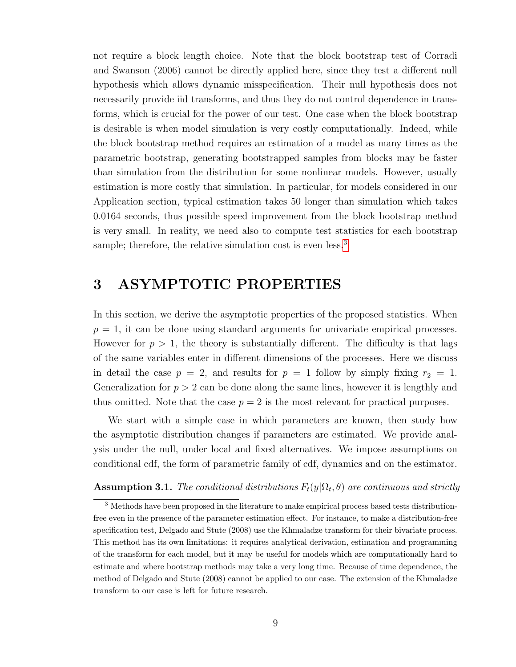not require a block length choice. Note that the block bootstrap test of Corradi and Swanson (2006) cannot be directly applied here, since they test a different null hypothesis which allows dynamic misspecification. Their null hypothesis does not necessarily provide iid transforms, and thus they do not control dependence in transforms, which is crucial for the power of our test. One case when the block bootstrap is desirable is when model simulation is very costly computationally. Indeed, while the block bootstrap method requires an estimation of a model as many times as the parametric bootstrap, generating bootstrapped samples from blocks may be faster than simulation from the distribution for some nonlinear models. However, usually estimation is more costly that simulation. In particular, for models considered in our Application section, typical estimation takes 50 longer than simulation which takes 0.0164 seconds, thus possible speed improvement from the block bootstrap method is very small. In reality, we need also to compute test statistics for each bootstrap sample; therefore, the relative simulation cost is even less.<sup>[3](#page-9-0)</sup>

## 3 ASYMPTOTIC PROPERTIES

In this section, we derive the asymptotic properties of the proposed statistics. When  $p = 1$ , it can be done using standard arguments for univariate empirical processes. However for  $p > 1$ , the theory is substantially different. The difficulty is that lags of the same variables enter in different dimensions of the processes. Here we discuss in detail the case  $p = 2$ , and results for  $p = 1$  follow by simply fixing  $r_2 = 1$ . Generalization for  $p > 2$  can be done along the same lines, however it is lengthly and thus omitted. Note that the case  $p = 2$  is the most relevant for practical purposes.

We start with a simple case in which parameters are known, then study how the asymptotic distribution changes if parameters are estimated. We provide analysis under the null, under local and fixed alternatives. We impose assumptions on conditional cdf, the form of parametric family of cdf, dynamics and on the estimator.

#### **Assumption 3.1.** The conditional distributions  $F_t(y|\Omega_t, \theta)$  are continuous and strictly

<span id="page-9-0"></span><sup>&</sup>lt;sup>3</sup> Methods have been proposed in the literature to make empirical process based tests distributionfree even in the presence of the parameter estimation effect. For instance, to make a distribution-free specification test, Delgado and Stute (2008) use the Khmaladze transform for their bivariate process. This method has its own limitations: it requires analytical derivation, estimation and programming of the transform for each model, but it may be useful for models which are computationally hard to estimate and where bootstrap methods may take a very long time. Because of time dependence, the method of Delgado and Stute (2008) cannot be applied to our case. The extension of the Khmaladze transform to our case is left for future research.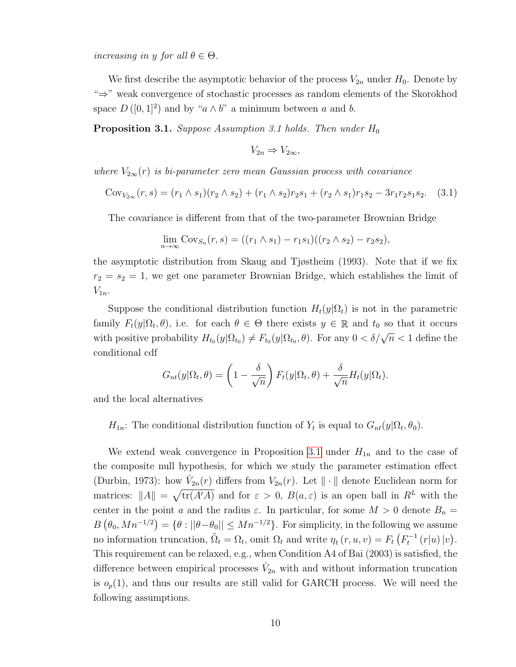increasing in y for all  $\theta \in \Theta$ .

We first describe the asymptotic behavior of the process  $V_{2n}$  under  $H_0$ . Denote by "⇒" weak convergence of stochastic processes as random elements of the Skorokhod space  $D([0,1]^2)$  and by " $a \wedge b$ " a minimum between a and b.

**Proposition 3.1.** Suppose Assumption 3.1 holds. Then under  $H_0$ 

$$
V_{2n} \Rightarrow V_{2\infty},
$$

where  $V_{2\infty}(r)$  is bi-parameter zero mean Gaussian process with covariance

<span id="page-10-0"></span>
$$
Cov_{V_{2\infty}}(r,s) = (r_1 \wedge s_1)(r_2 \wedge s_2) + (r_1 \wedge s_2)r_2s_1 + (r_2 \wedge s_1)r_1s_2 - 3r_1r_2s_1s_2. \quad (3.1)
$$

The covariance is different from that of the two-parameter Brownian Bridge

$$
\lim_{n \to \infty} \text{Cov}_{S_n}(r, s) = ((r_1 \wedge s_1) - r_1 s_1)((r_2 \wedge s_2) - r_2 s_2),
$$

the asymptotic distribution from Skaug and Tjøstheim (1993). Note that if we fix  $r_2 = s_2 = 1$ , we get one parameter Brownian Bridge, which establishes the limit of  $V_{1n}$ .

Suppose the conditional distribution function  $H_t(y|\Omega_t)$  is not in the parametric family  $F_t(y|\Omega_t, \theta)$ , i.e. for each  $\theta \in \Theta$  there exists  $y \in \mathbb{R}$  and  $t_0$  so that it occurs with positive probability  $H_{t_0}(y|\Omega_{t_0}) \neq F_{t_0}(y|\Omega_{t_0}, \theta)$ . For any  $0 < \delta/\sqrt{n} < 1$  define the conditional cdf

$$
G_{nt}(y|\Omega_t, \theta) = \left(1 - \frac{\delta}{\sqrt{n}}\right) F_t(y|\Omega_t, \theta) + \frac{\delta}{\sqrt{n}} H_t(y|\Omega_t).
$$

and the local alternatives

 $H_{1n}$ : The conditional distribution function of  $Y_t$  is equal to  $G_{nt}(y|\Omega_t, \theta_0)$ .

We extend weak convergence in Proposition [3.1](#page-3-1) under  $H_{1n}$  and to the case of the composite null hypothesis, for which we study the parameter estimation effect (Durbin, 1973): how  $\hat{V}_{2n}(r)$  differs from  $V_{2n}(r)$ . Let  $\|\cdot\|$  denote Euclidean norm for matrices:  $||A|| = \sqrt{\text{tr}(A'A)}$  and for  $\varepsilon > 0$ ,  $B(a, \varepsilon)$  is an open ball in  $R^L$  with the center in the point a and the radius  $\varepsilon$ . In particular, for some  $M > 0$  denote  $B_n =$  $B(\theta_0, Mn^{-1/2}) = \{\theta : ||\theta - \theta_0|| \le Mn^{-1/2}\}.$  For simplicity, in the following we assume no information truncation,  $\tilde{\Omega}_t = \Omega_t$ , omit  $\Omega_t$  and write  $\eta_t(r, u, v) = F_t(F_t^{-1}(r|u)|v)$ . This requirement can be relaxed, e.g., when Condition A4 of Bai (2003) is satisfied, the difference between empirical processes  $\hat{V}_{2n}$  with and without information truncation is  $o_p(1)$ , and thus our results are still valid for GARCH process. We will need the following assumptions.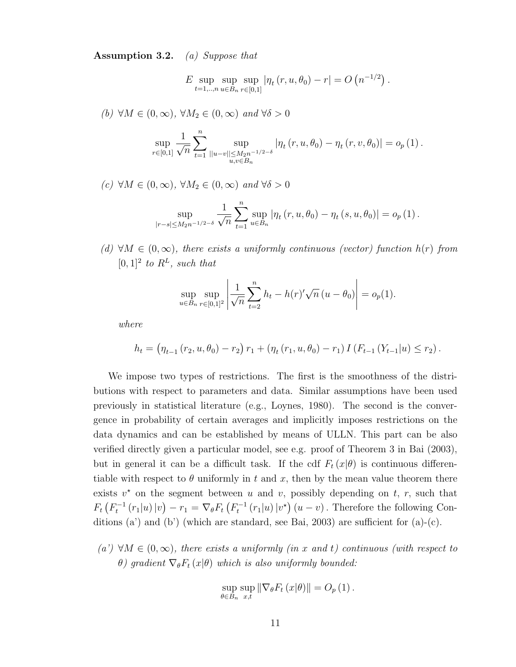Assumption 3.2. (a) Suppose that

 $E$  sup  $t = 1, \ldots, n$ sup  $u \in B_n$ sup  $\sup_{r\in[0,1]}|\eta_t(r, u, \theta_0) - r| = O(n^{-1/2}).$ 

(b)  $\forall M \in (0, \infty), \forall M_2 \in (0, \infty)$  and  $\forall \delta > 0$ 

$$
\sup_{r\in[0,1]}\frac{1}{\sqrt{n}}\sum_{t=1}^{n}\sup_{||u-v||\leq M_2n^{-1/2-\delta}}\left|\eta_t\left(r,u,\theta_0\right)-\eta_t\left(r,v,\theta_0\right)\right|=o_p\left(1\right).
$$

(c)  $\forall M \in (0, \infty), \forall M_2 \in (0, \infty)$  and  $\forall \delta > 0$ 

$$
\sup_{|r-s| \le M_2 n^{-1/2-\delta}} \frac{1}{\sqrt{n}} \sum_{t=1}^n \sup_{u \in B_n} |\eta_t(r, u, \theta_0) - \eta_t(s, u, \theta_0)| = o_p(1).
$$

(d)  $\forall M \in (0, \infty)$ , there exists a uniformly continuous (vector) function  $h(r)$  from  $[0,1]^2$  to  $R^L$ , such that

$$
\sup_{u \in B_n} \sup_{r \in [0,1]^2} \left| \frac{1}{\sqrt{n}} \sum_{t=2}^n h_t - h(r) \sqrt{n} (u - \theta_0) \right| = o_p(1).
$$

where

$$
h_t = (\eta_{t-1} (r_2, u, \theta_0) - r_2) r_1 + (\eta_t (r_1, u, \theta_0) - r_1) I (F_{t-1} (Y_{t-1} | u) \le r_2).
$$

We impose two types of restrictions. The first is the smoothness of the distributions with respect to parameters and data. Similar assumptions have been used previously in statistical literature (e.g., Loynes, 1980). The second is the convergence in probability of certain averages and implicitly imposes restrictions on the data dynamics and can be established by means of ULLN. This part can be also verified directly given a particular model, see e.g. proof of Theorem 3 in Bai (2003), but in general it can be a difficult task. If the cdf  $F_t(x|\theta)$  is continuous differentiable with respect to  $\theta$  uniformly in t and x, then by the mean value theorem there exists  $v^*$  on the segment between u and v, possibly depending on t, r, such that  $F_t(F_t^{-1}(r_1|u)|v) - r_1 = \nabla_{\theta} F_t(F_t^{-1}(r_1|u)|v^*) (u-v)$ . Therefore the following Conditions (a') and (b') (which are standard, see Bai, 2003) are sufficient for  $(a)-(c)$ .

 $(a') \forall M \in (0,\infty)$ , there exists a uniformly (in x and t) continuous (with respect to  $θ)$  gradient  $\nabla_\theta F_t(x|\theta)$  which is also uniformly bounded:

$$
\sup_{\theta \in B_n} \sup_{x,t} \|\nabla_{\theta} F_t(x|\theta)\| = O_p(1).
$$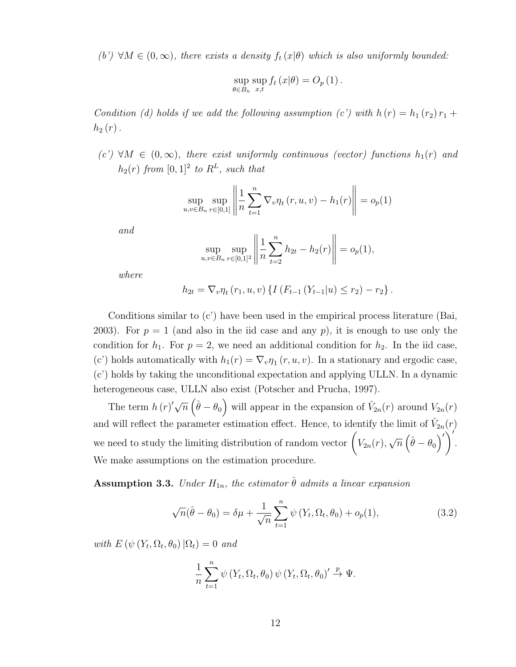(b')  $\forall M \in (0, \infty)$ , there exists a density  $f_t(x|\theta)$  which is also uniformly bounded:

$$
\sup_{\theta \in B_n} \sup_{x,t} f_t(x|\theta) = O_p(1).
$$

Condition (d) holds if we add the following assumption (c') with  $h(r) = h_1(r_2) r_1 +$  $h_2(r)$ .

 $(c') \forall M \in (0,\infty)$ , there exist uniformly continuous (vector) functions  $h_1(r)$  and  $h_2(r)$  from  $[0,1]^2$  to  $R^L$ , such that

$$
\sup_{u,v \in B_n} \sup_{r \in [0,1]} \left\| \frac{1}{n} \sum_{t=1}^n \nabla_v \eta_t(r, u, v) - h_1(r) \right\| = o_p(1)
$$

and

$$
\sup_{u,v \in B_n} \sup_{r \in [0,1]^2} \left\| \frac{1}{n} \sum_{t=2}^n h_{2t} - h_2(r) \right\| = o_p(1),
$$

where

$$
h_{2t} = \nabla_v \eta_t (r_1, u, v) \left\{ I \left( F_{t-1} \left( Y_{t-1} | u \right) \le r_2 \right) - r_2 \right\}.
$$

Conditions similar to (c') have been used in the empirical process literature (Bai, 2003). For  $p = 1$  (and also in the iid case and any p), it is enough to use only the condition for  $h_1$ . For  $p = 2$ , we need an additional condition for  $h_2$ . In the iid case, (c') holds automatically with  $h_1(r) = \nabla_v \eta_1(r, u, v)$ . In a stationary and ergodic case, (c') holds by taking the unconditional expectation and applying ULLN. In a dynamic heterogeneous case, ULLN also exist (Potscher and Prucha, 1997).

The term  $h(r)\sqrt{\overline{n}}\left(\hat{\theta}-\theta_0\right)$  will appear in the expansion of  $\hat{V}_{2n}(r)$  around  $V_{2n}(r)$ and will reflect the parameter estimation effect. Hence, to identify the limit of  $\hat{V}_{2n}(r)$ we need to study the limiting distribution of random vector  $\left(V_{2n}(r),\right)$ √  $\overline{n}\left(\hat{\theta}-\theta_{0}\right)^{\prime}\bigg)^{\prime}$ . We make assumptions on the estimation procedure.

**Assumption 3.3.** Under  $H_{1n}$ , the estimator  $\hat{\theta}$  admits a linear expansion

<span id="page-12-0"></span>
$$
\sqrt{n}(\hat{\theta} - \theta_0) = \delta\mu + \frac{1}{\sqrt{n}} \sum_{t=1}^{n} \psi(Y_t, \Omega_t, \theta_0) + o_p(1),
$$
\n(3.2)

with  $E(\psi(Y_t, \Omega_t, \theta_0) | \Omega_t) = 0$  and

$$
\frac{1}{n}\sum_{t=1}^{n} \psi(Y_t, \Omega_t, \theta_0) \psi(Y_t, \Omega_t, \theta_0)' \stackrel{p}{\to} \Psi.
$$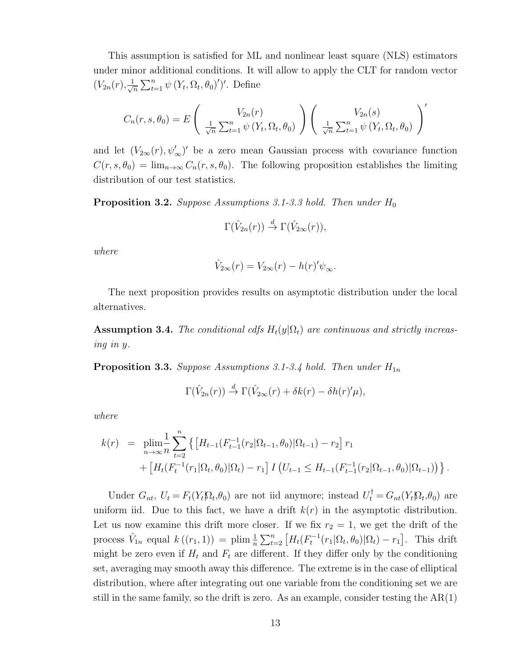This assumption is satisfied for ML and nonlinear least square (NLS) estimators under minor additional conditions. It will allow to apply the CLT for random vector  $(V_{2n}(r), \frac{1}{\sqrt{2}})$  $\frac{1}{n} \sum_{t=1}^{n} \psi(Y_t, \Omega_t, \theta_0)'$ . Define

$$
C_n(r, s, \theta_0) = E\left(\frac{V_{2n}(r)}{\sqrt{n}} \sum_{t=1}^n \psi(Y_t, \Omega_t, \theta_0)\right) \left(\frac{V_{2n}(s)}{\sqrt{n}} \sum_{t=1}^n \psi(Y_t, \Omega_t, \theta_0)\right)'
$$

and let  $(V_{2\infty}(r), \psi_{\infty}')'$  be a zero mean Gaussian process with covariance function  $C(r, s, \theta_0) = \lim_{n \to \infty} C_n(r, s, \theta_0)$ . The following proposition establishes the limiting distribution of our test statistics.

<span id="page-13-0"></span>**Proposition 3.2.** Suppose Assumptions 3.1-3.3 hold. Then under  $H_0$ 

$$
\Gamma(\hat{V}_{2n}(r)) \stackrel{d}{\rightarrow} \Gamma(\hat{V}_{2\infty}(r)),
$$

where

$$
\hat{V}_{2\infty}(r) = V_{2\infty}(r) - h(r)\psi_{\infty}.
$$

The next proposition provides results on asymptotic distribution under the local alternatives.

**Assumption 3.4.** The conditional cdfs  $H_t(y|\Omega_t)$  are continuous and strictly increasing in y.

<span id="page-13-1"></span>**Proposition 3.3.** Suppose Assumptions 3.1-3.4 hold. Then under  $H_{1n}$ 

$$
\Gamma(\hat{V}_{2n}(r)) \stackrel{d}{\rightarrow} \Gamma(\hat{V}_{2\infty}(r) + \delta k(r) - \delta h(r)'\mu),
$$

where

$$
k(r) = \n\min_{n \to \infty} \frac{1}{n} \sum_{t=2}^{n} \left\{ \left[ H_{t-1}(F_{t-1}^{-1}(r_2 | \Omega_{t-1}, \theta_0) | \Omega_{t-1}) - r_2 \right] r_1 \right. \\ \left. + \left[ H_t(F_t^{-1}(r_1 | \Omega_t, \theta_0) | \Omega_t) - r_1 \right] I \left( U_{t-1} \leq H_{t-1}(F_{t-1}^{-1}(r_2 | \Omega_{t-1}, \theta_0) | \Omega_{t-1}) \right) \right\}.
$$

Under  $G_{nt}$ ,  $U_t = F_t(Y_t | \Omega_t, \theta_0)$  are not iid anymore; instead  $U_t^{\dagger} = G_{nt}(Y_t | \Omega_t, \theta_0)$  are uniform iid. Due to this fact, we have a drift  $k(r)$  in the asymptotic distribution. Let us now examine this drift more closer. If we fix  $r_2 = 1$ , we get the drift of the process  $\hat{V}_{1n}$  equal  $k((r_1, 1)) = \text{plim } \frac{1}{n} \sum_{t=2}^{n} [H_t(F_t^{-1}(r_1 | \Omega_t, \theta_0) | \Omega_t) - r_1].$  This drift might be zero even if  $H_t$  and  $F_t$  are different. If they differ only by the conditioning set, averaging may smooth away this difference. The extreme is in the case of elliptical distribution, where after integrating out one variable from the conditioning set we are still in the same family, so the drift is zero. As an example, consider testing the  $AR(1)$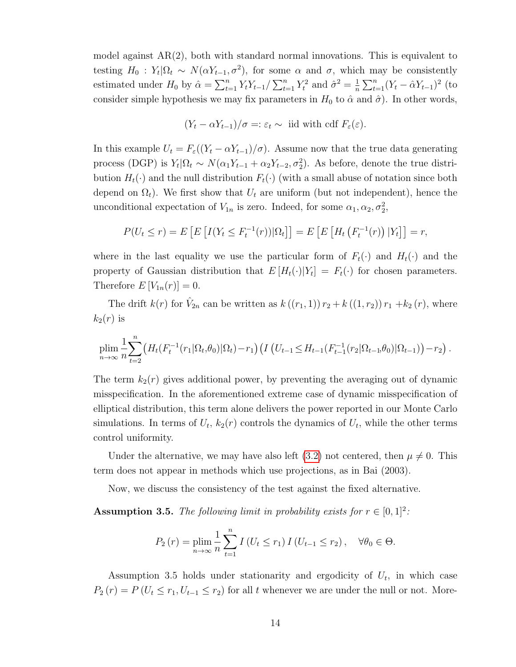model against  $AR(2)$ , both with standard normal innovations. This is equivalent to testing  $H_0: Y_t | \Omega_t \sim N(\alpha Y_{t-1}, \sigma^2)$ , for some  $\alpha$  and  $\sigma$ , which may be consistently estimated under  $H_0$  by  $\hat{\alpha} = \sum_{t=1}^n Y_t Y_{t-1} / \sum_{t=1}^n Y_t^2$  and  $\hat{\sigma}^2 = \frac{1}{n}$  $\frac{1}{n} \sum_{t=1}^{n} (Y_t - \hat{\alpha} Y_{t-1})^2$  (to consider simple hypothesis we may fix parameters in  $H_0$  to  $\hat{\alpha}$  and  $\hat{\sigma}$ ). In other words,

$$
(Y_t - \alpha Y_{t-1})/\sigma =: \varepsilon_t \sim \text{iid with cdf } F_{\varepsilon}(\varepsilon).
$$

In this example  $U_t = F_{\varepsilon}((Y_t - \alpha Y_{t-1})/\sigma)$ . Assume now that the true data generating process (DGP) is  $Y_t | \Omega_t \sim N(\alpha_1 Y_{t-1} + \alpha_2 Y_{t-2}, \sigma_2^2)$ . As before, denote the true distribution  $H_t(\cdot)$  and the null distribution  $F_t(\cdot)$  (with a small abuse of notation since both depend on  $\Omega_t$ ). We first show that  $U_t$  are uniform (but not independent), hence the unconditional expectation of  $V_{1n}$  is zero. Indeed, for some  $\alpha_1, \alpha_2, \sigma_2^2$ ,

$$
P(U_t \le r) = E\left[E\left[I(Y_t \le F_t^{-1}(r))|\Omega_t\right]\right] = E\left[E\left[H_t\left(F_t^{-1}(r)\right)|Y_t\right]\right] = r,
$$

where in the last equality we use the particular form of  $F_t(\cdot)$  and  $H_t(\cdot)$  and the property of Gaussian distribution that  $E[H_t(\cdot)|Y_t] = F_t(\cdot)$  for chosen parameters. Therefore  $E[V_{1n}(r)]=0$ .

The drift  $k(r)$  for  $\hat{V}_{2n}$  can be written as  $k((r_1, 1)) r_2 + k((1, r_2)) r_1 + k_2(r)$ , where  $k_2(r)$  is

$$
\lim_{n\to\infty} \frac{1}{n} \sum_{t=2}^n \left( H_t(F_t^{-1}(r_1|\Omega_t,\theta_0)|\Omega_t) - r_1 \right) \left( I\left( U_{t-1} \leq H_{t-1}(F_{t-1}^{-1}(r_2|\Omega_{t-1},\theta_0)|\Omega_{t-1}) \right) - r_2 \right).
$$

The term  $k_2(r)$  gives additional power, by preventing the averaging out of dynamic misspecification. In the aforementioned extreme case of dynamic misspecification of elliptical distribution, this term alone delivers the power reported in our Monte Carlo simulations. In terms of  $U_t$ ,  $k_2(r)$  controls the dynamics of  $U_t$ , while the other terms control uniformity.

Under the alternative, we may have also left [\(3.2\)](#page-12-0) not centered, then  $\mu \neq 0$ . This term does not appear in methods which use projections, as in Bai (2003).

Now, we discuss the consistency of the test against the fixed alternative.

**Assumption 3.5.** The following limit in probability exists for  $r \in [0,1]^2$ :

$$
P_2(r) = \lim_{n \to \infty} \frac{1}{n} \sum_{t=1}^n I\left(U_t \le r_1\right) I\left(U_{t-1} \le r_2\right), \quad \forall \theta_0 \in \Theta.
$$

Assumption 3.5 holds under stationarity and ergodicity of  $U_t$ , in which case  $P_2(r) = P(U_t \le r_1, U_{t-1} \le r_2)$  for all t whenever we are under the null or not. More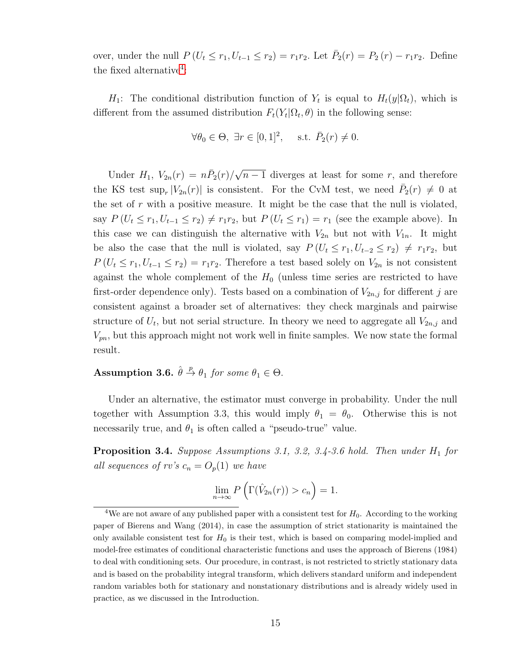over, under the null  $P(U_t \le r_1, U_{t-1} \le r_2) = r_1 r_2$ . Let  $\bar{P}_2(r) = P_2(r) - r_1 r_2$ . Define the fixed alternative<sup>[4](#page-15-0)</sup>:

 $H_1$ : The conditional distribution function of  $Y_t$  is equal to  $H_t(y|\Omega_t)$ , which is different from the assumed distribution  $F_t(Y_t|\Omega_t, \theta)$  in the following sense:

$$
\forall \theta_0 \in \Theta, \ \exists r \in [0,1]^2, \quad \text{s.t. } \bar{P}_2(r) \neq 0.
$$

Under  $H_1, V_{2n}(r) = n\bar{P}_2(r)/$ √  $n-1$  diverges at least for some r, and therefore the KS test  $\sup_r |V_{2n}(r)|$  is consistent. For the CvM test, we need  $\bar{P}_2(r) \neq 0$  at the set of  $r$  with a positive measure. It might be the case that the null is violated, say  $P(U_t \leq r_1, U_{t-1} \leq r_2) \neq r_1r_2$ , but  $P(U_t \leq r_1) = r_1$  (see the example above). In this case we can distinguish the alternative with  $V_{2n}$  but not with  $V_{1n}$ . It might be also the case that the null is violated, say  $P(U_t \leq r_1, U_{t-2} \leq r_2) \neq r_1r_2$ , but  $P(U_t \leq r_1, U_{t-1} \leq r_2) = r_1 r_2$ . Therefore a test based solely on  $V_{2n}$  is not consistent against the whole complement of the  $H_0$  (unless time series are restricted to have first-order dependence only). Tests based on a combination of  $V_{2n,j}$  for different j are consistent against a broader set of alternatives: they check marginals and pairwise structure of  $U_t$ , but not serial structure. In theory we need to aggregate all  $V_{2n,j}$  and  $V_{pn}$ , but this approach might not work well in finite samples. We now state the formal result.

## Assumption 3.6.  $\hat{\theta} \stackrel{p}{\rightarrow} \theta_1$  for some  $\theta_1 \in \Theta$ .

Under an alternative, the estimator must converge in probability. Under the null together with Assumption 3.3, this would imply  $\theta_1 = \theta_0$ . Otherwise this is not necessarily true, and  $\theta_1$  is often called a "pseudo-true" value.

<span id="page-15-1"></span>**Proposition 3.4.** Suppose Assumptions 3.1, 3.2, 3.4-3.6 hold. Then under  $H_1$  for all sequences of rv's  $c_n = O_p(1)$  we have

$$
\lim_{n \to \infty} P\left(\Gamma(\hat{V}_{2n}(r)) > c_n\right) = 1.
$$

<span id="page-15-0"></span><sup>&</sup>lt;sup>4</sup>We are not aware of any published paper with a consistent test for  $H_0$ . According to the working paper of Bierens and Wang (2014), in case the assumption of strict stationarity is maintained the only available consistent test for  $H_0$  is their test, which is based on comparing model-implied and model-free estimates of conditional characteristic functions and uses the approach of Bierens (1984) to deal with conditioning sets. Our procedure, in contrast, is not restricted to strictly stationary data and is based on the probability integral transform, which delivers standard uniform and independent random variables both for stationary and nonstationary distributions and is already widely used in practice, as we discussed in the Introduction.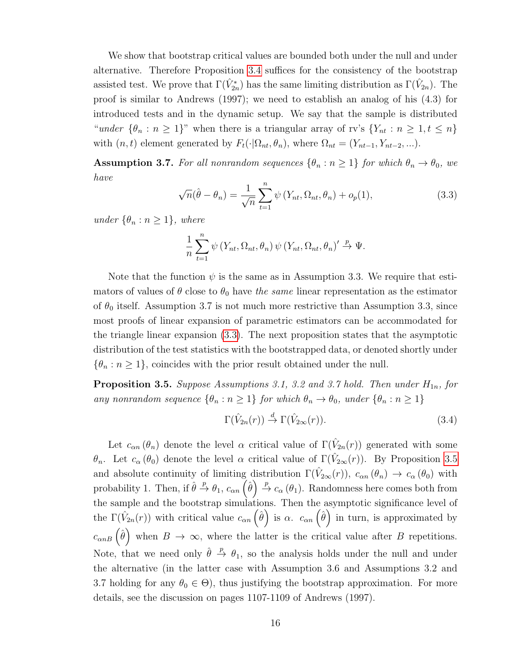We show that bootstrap critical values are bounded both under the null and under alternative. Therefore Proposition [3.4](#page-15-1) suffices for the consistency of the bootstrap assisted test. We prove that  $\Gamma(\hat{V}_{2n}^*)$  has the same limiting distribution as  $\Gamma(\hat{V}_{2n})$ . The proof is similar to Andrews (1997); we need to establish an analog of his (4.3) for introduced tests and in the dynamic setup. We say that the sample is distributed "under  $\{\theta_n : n \geq 1\}$ " when there is a triangular array of rv's  $\{Y_{nt} : n \geq 1, t \leq n\}$ with  $(n, t)$  element generated by  $F_t(\cdot|\Omega_{nt}, \theta_n)$ , where  $\Omega_{nt} = (Y_{nt-1}, Y_{nt-2}, \ldots)$ .

**Assumption 3.7.** For all nonrandom sequences  $\{\theta_n : n \geq 1\}$  for which  $\theta_n \to \theta_0$ , we have

<span id="page-16-0"></span>
$$
\sqrt{n}(\hat{\theta} - \theta_n) = \frac{1}{\sqrt{n}} \sum_{t=1}^n \psi(Y_{nt}, \Omega_{nt}, \theta_n) + o_p(1),
$$
\n(3.3)

under  $\{\theta_n : n \geq 1\}$ , where

$$
\frac{1}{n}\sum_{t=1}^{n} \psi(Y_{nt}, \Omega_{nt}, \theta_n) \psi(Y_{nt}, \Omega_{nt}, \theta_n)' \stackrel{p}{\to} \Psi.
$$

Note that the function  $\psi$  is the same as in Assumption 3.3. We require that estimators of values of  $\theta$  close to  $\theta_0$  have the same linear representation as the estimator of  $\theta_0$  itself. Assumption 3.7 is not much more restrictive than Assumption 3.3, since most proofs of linear expansion of parametric estimators can be accommodated for the triangle linear expansion [\(3.3\)](#page-16-0). The next proposition states that the asymptotic distribution of the test statistics with the bootstrapped data, or denoted shortly under  $\{\theta_n : n \geq 1\}$ , coincides with the prior result obtained under the null.

<span id="page-16-1"></span>**Proposition 3.5.** Suppose Assumptions 3.1, 3.2 and 3.7 hold. Then under  $H_{1n}$ , for any nonrandom sequence  $\{\theta_n : n \geq 1\}$  for which  $\theta_n \to \theta_0$ , under  $\{\theta_n : n \geq 1\}$ 

$$
\Gamma(\hat{V}_{2n}(r)) \stackrel{d}{\to} \Gamma(\hat{V}_{2\infty}(r)).
$$
\n(3.4)

Let  $c_{\alpha n}(\theta_n)$  denote the level  $\alpha$  critical value of  $\Gamma(\hat{V}_{2n}(r))$  generated with some θ<sub>n</sub>. Let  $c_\alpha(\theta_0)$  denote the level α critical value of  $\Gamma(\hat{V}_{2\infty}(r))$ . By Proposition [3.5](#page-16-1) and absolute continuity of limiting distribution  $\Gamma(\hat{V}_{2\infty}(r))$ ,  $c_{\alpha n}(\theta_n) \to c_{\alpha}(\theta_0)$  with probability 1. Then, if  $\hat{\theta} \stackrel{p}{\to} \theta_1$ ,  $c_{\alpha n}(\hat{\theta}) \stackrel{p}{\to} c_{\alpha}(\theta_1)$ . Randomness here comes both from the sample and the bootstrap simulations. Then the asymptotic significance level of the  $\Gamma(\hat{V}_{2n}(r))$  with critical value  $c_{\alpha n}(\hat{\theta})$  is  $\alpha$ .  $c_{\alpha n}(\hat{\theta})$  in turn, is approximated by  $c_{\alpha n B}(\hat{\theta})$  when  $B \to \infty$ , where the latter is the critical value after B repetitions. Note, that we need only  $\hat{\theta} \stackrel{p}{\rightarrow} \theta_1$ , so the analysis holds under the null and under the alternative (in the latter case with Assumption 3.6 and Assumptions 3.2 and 3.7 holding for any  $\theta_0 \in \Theta$ ), thus justifying the bootstrap approximation. For more details, see the discussion on pages 1107-1109 of Andrews (1997).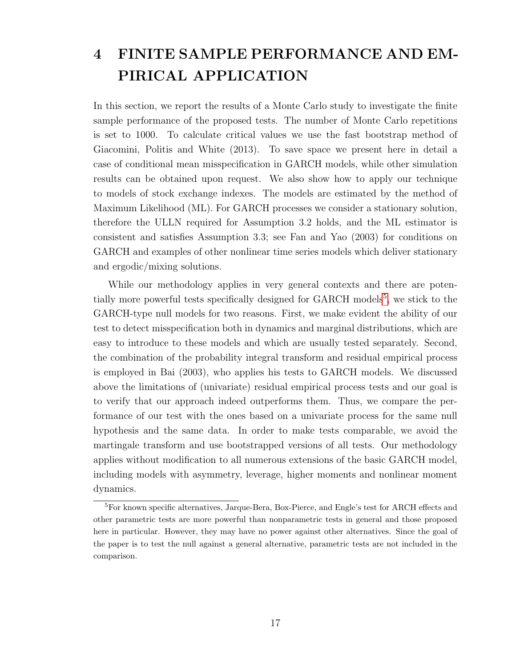# 4 FINITE SAMPLE PERFORMANCE AND EM-PIRICAL APPLICATION

In this section, we report the results of a Monte Carlo study to investigate the finite sample performance of the proposed tests. The number of Monte Carlo repetitions is set to 1000. To calculate critical values we use the fast bootstrap method of Giacomini, Politis and White (2013). To save space we present here in detail a case of conditional mean misspecification in GARCH models, while other simulation results can be obtained upon request. We also show how to apply our technique to models of stock exchange indexes. The models are estimated by the method of Maximum Likelihood (ML). For GARCH processes we consider a stationary solution, therefore the ULLN required for Assumption 3.2 holds, and the ML estimator is consistent and satisfies Assumption 3.3; see Fan and Yao (2003) for conditions on GARCH and examples of other nonlinear time series models which deliver stationary and ergodic/mixing solutions.

While our methodology applies in very general contexts and there are poten-tially more powerful tests specifically designed for GARCH models<sup>[5](#page-17-0)</sup>, we stick to the GARCH-type null models for two reasons. First, we make evident the ability of our test to detect misspecification both in dynamics and marginal distributions, which are easy to introduce to these models and which are usually tested separately. Second, the combination of the probability integral transform and residual empirical process is employed in Bai (2003), who applies his tests to GARCH models. We discussed above the limitations of (univariate) residual empirical process tests and our goal is to verify that our approach indeed outperforms them. Thus, we compare the performance of our test with the ones based on a univariate process for the same null hypothesis and the same data. In order to make tests comparable, we avoid the martingale transform and use bootstrapped versions of all tests. Our methodology applies without modification to all numerous extensions of the basic GARCH model, including models with asymmetry, leverage, higher moments and nonlinear moment dynamics.

<span id="page-17-0"></span><sup>&</sup>lt;sup>5</sup>For known specific alternatives, Jarque-Bera, Box-Pierce, and Engle's test for ARCH effects and other parametric tests are more powerful than nonparametric tests in general and those proposed here in particular. However, they may have no power against other alternatives. Since the goal of the paper is to test the null against a general alternative, parametric tests are not included in the comparison.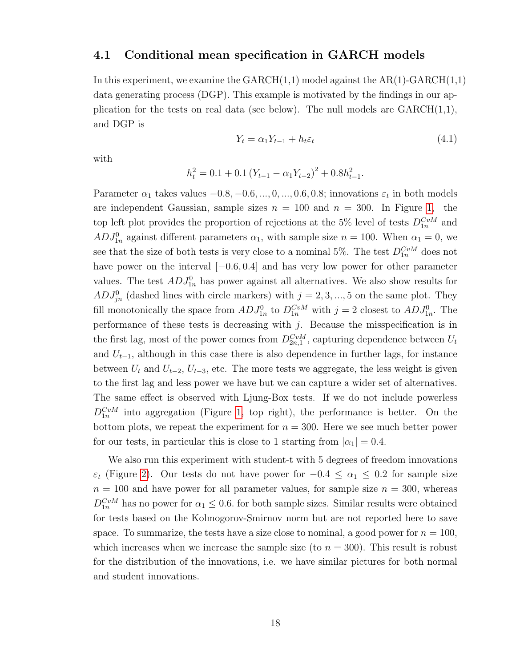#### 4.1 Conditional mean specification in GARCH models

In this experiment, we examine the  $GARCH(1,1)$  model against the  $AR(1)-GARCH(1,1)$ data generating process (DGP). This example is motivated by the findings in our application for the tests on real data (see below). The null models are  $GARCH(1,1),$ and DGP is

<span id="page-18-0"></span>
$$
Y_t = \alpha_1 Y_{t-1} + h_t \varepsilon_t \tag{4.1}
$$

with

$$
h_t^2 = 0.1 + 0.1 (Y_{t-1} - \alpha_1 Y_{t-2})^2 + 0.8h_{t-1}^2.
$$

Parameter  $\alpha_1$  takes values  $-0.8, -0.6, ..., 0, ..., 0.6, 0.8$ ; innovations  $\varepsilon_t$  in both models are independent Gaussian, sample sizes  $n = 100$  and  $n = 300$ . In Figure [1,](#page-19-0) the top left plot provides the proportion of rejections at the 5% level of tests  $D_{1n}^{CvM}$  and  $ADJ_{1n}^0$  against different parameters  $\alpha_1$ , with sample size  $n = 100$ . When  $\alpha_1 = 0$ , we see that the size of both tests is very close to a nominal 5%. The test  $D_{1n}^{CvM}$  does not have power on the interval  $[-0.6, 0.4]$  and has very low power for other parameter values. The test  $ADJ_{1n}^0$  has power against all alternatives. We also show results for  $ADJ_{jn}^0$  (dashed lines with circle markers) with  $j = 2, 3, ..., 5$  on the same plot. They fill monotonically the space from  $ADJ_{1n}^0$  to  $D_{1n}^{CvM}$  with  $j = 2$  closest to  $ADJ_{1n}^0$ . The performance of these tests is decreasing with  $j$ . Because the misspecification is in the first lag, most of the power comes from  $D_{2n,1}^{CvM}$ , capturing dependence between  $U_t$ and  $U_{t-1}$ , although in this case there is also dependence in further lags, for instance between  $U_t$  and  $U_{t-2}$ ,  $U_{t-3}$ , etc. The more tests we aggregate, the less weight is given to the first lag and less power we have but we can capture a wider set of alternatives. The same effect is observed with Ljung-Box tests. If we do not include powerless  $D_{1n}^{CvM}$  into aggregation (Figure [1,](#page-19-0) top right), the performance is better. On the bottom plots, we repeat the experiment for  $n = 300$ . Here we see much better power for our tests, in particular this is close to 1 starting from  $|\alpha_1| = 0.4$ .

We also run this experiment with student-t with 5 degrees of freedom innovations  $\varepsilon_t$  (Figure [2\)](#page-20-0). Our tests do not have power for  $-0.4 \leq \alpha_1 \leq 0.2$  for sample size  $n = 100$  and have power for all parameter values, for sample size  $n = 300$ , whereas  $D_{1n}^{CvM}$  has no power for  $\alpha_1 \leq 0.6$ . for both sample sizes. Similar results were obtained for tests based on the Kolmogorov-Smirnov norm but are not reported here to save space. To summarize, the tests have a size close to nominal, a good power for  $n = 100$ , which increases when we increase the sample size (to  $n = 300$ ). This result is robust for the distribution of the innovations, i.e. we have similar pictures for both normal and student innovations.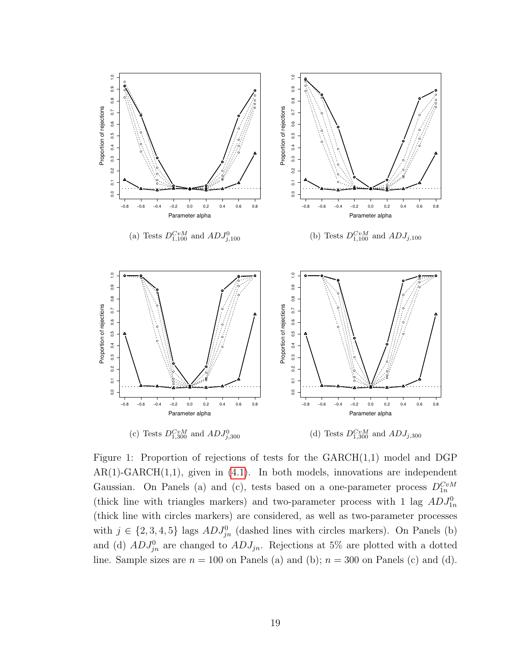

<span id="page-19-0"></span>Figure 1: Proportion of rejections of tests for the  $GARCH(1,1)$  model and DGP  $AR(1)-GARCH(1,1)$ , given in  $(4.1)$ . In both models, innovations are independent Gaussian. On Panels (a) and (c), tests based on a one-parameter process  $D_{1n}^{CvM}$ (thick line with triangles markers) and two-parameter process with 1 lag  $ADJ_{1n}^0$ (thick line with circles markers) are considered, as well as two-parameter processes with  $j \in \{2, 3, 4, 5\}$  lags  $ADJ_{jn}^0$  (dashed lines with circles markers). On Panels (b) and (d)  $ADJ_{jn}^0$  are changed to  $ADJ_{jn}$ . Rejections at 5% are plotted with a dotted line. Sample sizes are  $n = 100$  on Panels (a) and (b);  $n = 300$  on Panels (c) and (d).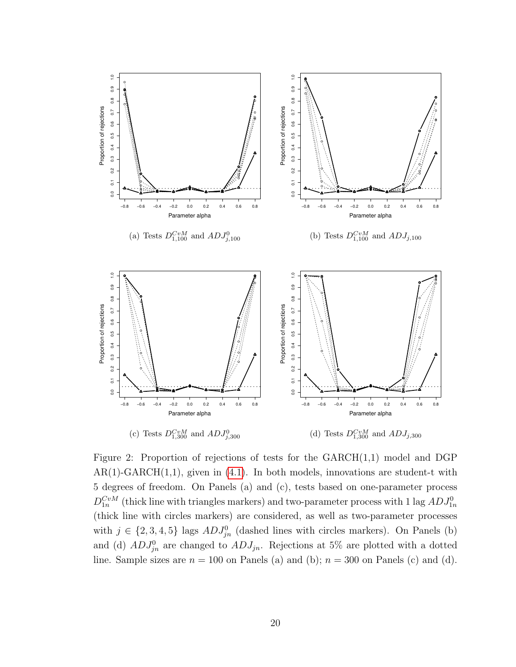

<span id="page-20-0"></span>Figure 2: Proportion of rejections of tests for the  $GARCH(1,1)$  model and DGP  $AR(1)-GARCH(1,1)$ , given in  $(4.1)$ . In both models, innovations are student-t with 5 degrees of freedom. On Panels (a) and (c), tests based on one-parameter process  $D_{1n}^{CvM}$  (thick line with triangles markers) and two-parameter process with 1 lag  $ADJ_{1n}^0$ (thick line with circles markers) are considered, as well as two-parameter processes with  $j \in \{2, 3, 4, 5\}$  lags  $ADJ_{jn}^0$  (dashed lines with circles markers). On Panels (b) and (d)  $ADJ_{jn}^0$  are changed to  $ADJ_{jn}$ . Rejections at 5% are plotted with a dotted line. Sample sizes are  $n = 100$  on Panels (a) and (b);  $n = 300$  on Panels (c) and (d).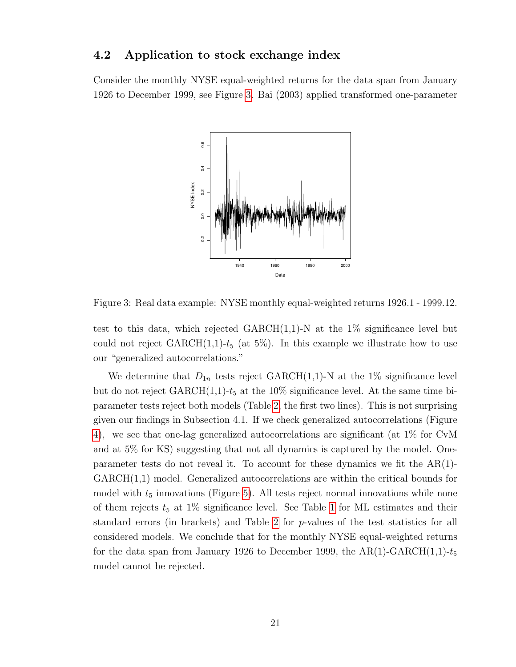#### 4.2 Application to stock exchange index

Consider the monthly NYSE equal-weighted returns for the data span from January 1926 to December 1999, see Figure [3.](#page-21-0) Bai (2003) applied transformed one-parameter



<span id="page-21-0"></span>Figure 3: Real data example: NYSE monthly equal-weighted returns 1926.1 - 1999.12.

test to this data, which rejected  $GARCH(1,1)-N$  at the 1% significance level but could not reject  $GARCH(1,1)-t_5$  (at 5%). In this example we illustrate how to use our "generalized autocorrelations."

We determine that  $D_{1n}$  tests reject GARCH(1,1)-N at the 1% significance level but do not reject  $\text{GARCH}(1,1)-t_5$  at the 10% significance level. At the same time biparameter tests reject both models (Table [2,](#page-22-0) the first two lines). This is not surprising given our findings in Subsection 4.1. If we check generalized autocorrelations (Figure [4\)](#page-23-0), we see that one-lag generalized autocorrelations are significant (at 1% for CvM and at 5% for KS) suggesting that not all dynamics is captured by the model. Oneparameter tests do not reveal it. To account for these dynamics we fit the  $AR(1)$ -GARCH(1,1) model. Generalized autocorrelations are within the critical bounds for model with  $t_5$  innovations (Figure [5\)](#page-24-0). All tests reject normal innovations while none of them rejects  $t_5$  at [1](#page-22-1)% significance level. See Table 1 for ML estimates and their standard errors (in brackets) and Table [2](#page-22-0) for p-values of the test statistics for all considered models. We conclude that for the monthly NYSE equal-weighted returns for the data span from January 1926 to December 1999, the  $AR(1)-GARCH(1,1)-t_5$ model cannot be rejected.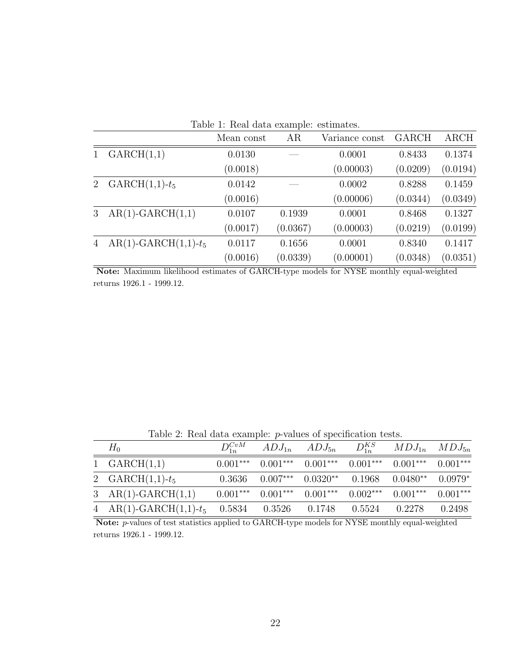| Table 1. Real data example. estimates. |                        |            |          |                |              |             |  |  |  |  |  |
|----------------------------------------|------------------------|------------|----------|----------------|--------------|-------------|--|--|--|--|--|
|                                        |                        | Mean const | AR       | Variance const | <b>GARCH</b> | <b>ARCH</b> |  |  |  |  |  |
| $\mathbf{1}$                           | GARCH(1,1)             | 0.0130     |          | 0.0001         | 0.8433       | 0.1374      |  |  |  |  |  |
|                                        |                        | (0.0018)   |          | (0.00003)      | (0.0209)     | (0.0194)    |  |  |  |  |  |
| $2^{\circ}$                            | $GARCH(1,1)-t_5$       | 0.0142     |          | 0.0002         | 0.8288       | 0.1459      |  |  |  |  |  |
|                                        |                        | (0.0016)   |          | (0.00006)      | (0.0344)     | (0.0349)    |  |  |  |  |  |
| 3 <sup>1</sup>                         | $AR(1)-GARCH(1,1)$     | 0.0107     | 0.1939   | 0.0001         | 0.8468       | 0.1327      |  |  |  |  |  |
|                                        |                        | (0.0017)   | (0.0367) | (0.00003)      | (0.0219)     | (0.0199)    |  |  |  |  |  |
| $\overline{4}$                         | $AR(1)-GARCH(1,1)-t_5$ | 0.0117     | 0.1656   | 0.0001         | 0.8340       | 0.1417      |  |  |  |  |  |
|                                        |                        | (0.0016)   | (0.0339) | (0.00001)      | (0.0348)     | (0.0351)    |  |  |  |  |  |

<span id="page-22-1"></span>Table 1: Real data example: estimates.

Note: Maximum likelihood estimates of GARCH-type models for NYSE monthly equal-weighted returns 1926.1 - 1999.12.

<span id="page-22-0"></span>Table 2: Real data example: p-values of specification tests.

| $H_0$                         | $D_{1n}^{CvM}$ |                       | $ADJ_{1n}$ $ADJ_{5n}$               | $D_{1n}^{KS}$ | $MDJ_{1n}$ $MDJ_{5n}$                     |            |
|-------------------------------|----------------|-----------------------|-------------------------------------|---------------|-------------------------------------------|------------|
| 1 $GARCH(1,1)$                |                |                       | $0.001***$ $0.001***$ $0.001***$    |               | $0.001***$ $0.001***$                     | $0.001***$ |
| 2 $GARCH(1,1)-t_5$            | 0.3636         |                       |                                     |               | $0.007***$ $0.0320**$ $0.1968$ $0.0480**$ | $0.0979*$  |
| 3 $AR(1)-GARCH(1,1)$          |                | $0.001***$ $0.001***$ | $0.001***$                          | $0.002***$    | $0.001***$                                | $0.001***$ |
| 4 AR(1)-GARCH $(1,1)$ - $t_5$ |                |                       | $0.5834$ $0.3526$ $0.1748$ $0.5524$ |               | 0.2278                                    | 0.2498     |

Note: p-values of test statistics applied to GARCH-type models for NYSE monthly equal-weighted returns 1926.1 - 1999.12.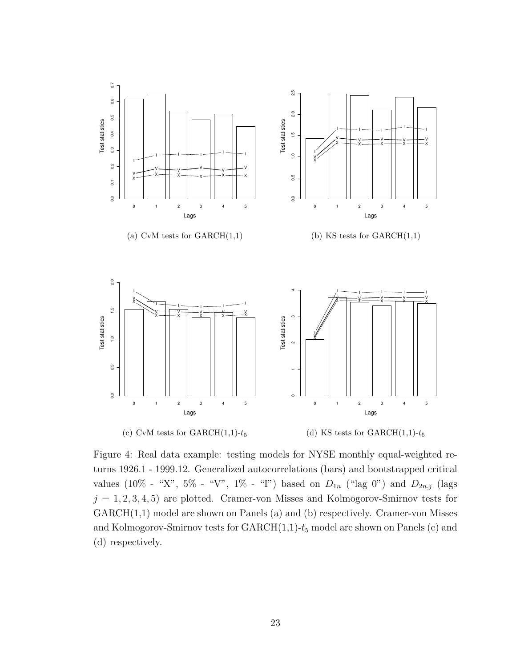

<span id="page-23-0"></span>Figure 4: Real data example: testing models for NYSE monthly equal-weighted returns 1926.1 - 1999.12. Generalized autocorrelations (bars) and bootstrapped critical values (10% - "X", 5% - "V", 1% - "I") based on  $D_{1n}$  ("lag 0") and  $D_{2n,j}$  (lags  $j = 1, 2, 3, 4, 5$  are plotted. Cramer-von Misses and Kolmogorov-Smirnov tests for GARCH(1,1) model are shown on Panels (a) and (b) respectively. Cramer-von Misses and Kolmogorov-Smirnov tests for  $GARCH(1,1)-t_5$  model are shown on Panels (c) and (d) respectively.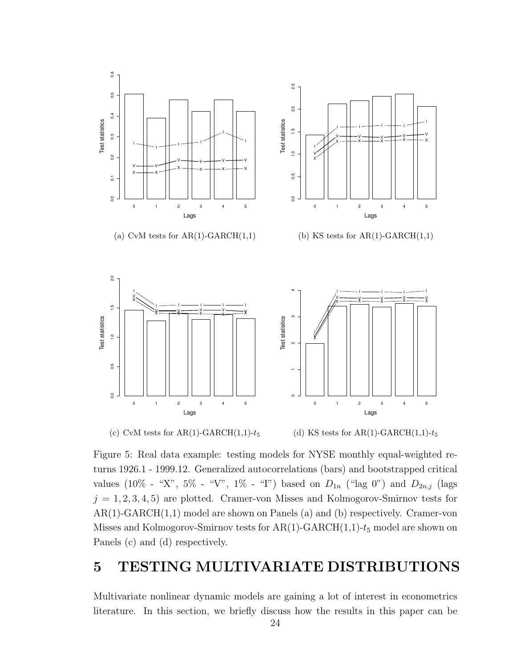

<span id="page-24-0"></span>(c) CvM tests for AR(1)-GARCH $(1,1)$ - $t_5$ 

(d) KS tests for AR(1)-GARCH(1,1)- $t_5$ 

Figure 5: Real data example: testing models for NYSE monthly equal-weighted returns 1926.1 - 1999.12. Generalized autocorrelations (bars) and bootstrapped critical values (10% - "X", 5% - "V", 1% - "I") based on  $D_{1n}$  ("lag 0") and  $D_{2n,j}$  (lags  $j = 1, 2, 3, 4, 5$  are plotted. Cramer-von Misses and Kolmogorov-Smirnov tests for AR(1)-GARCH(1,1) model are shown on Panels (a) and (b) respectively. Cramer-von Misses and Kolmogorov-Smirnov tests for  $AR(1)-GARCH(1,1)-t_5$  model are shown on Panels (c) and (d) respectively.

## 5 TESTING MULTIVARIATE DISTRIBUTIONS

Multivariate nonlinear dynamic models are gaining a lot of interest in econometrics literature. In this section, we briefly discuss how the results in this paper can be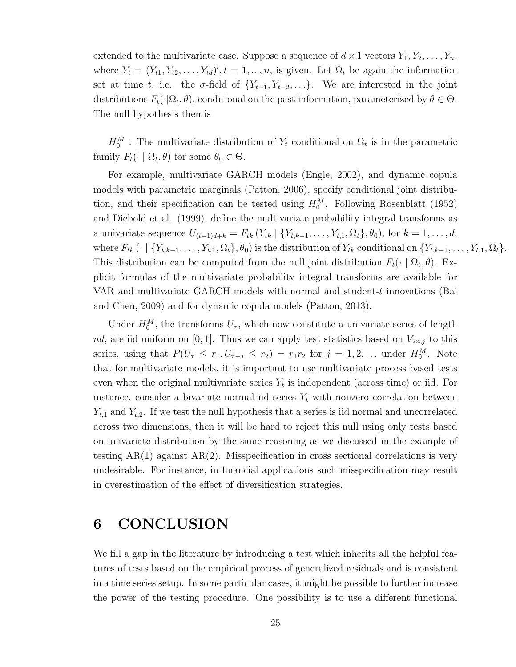extended to the multivariate case. Suppose a sequence of  $d \times 1$  vectors  $Y_1, Y_2, \ldots, Y_n$ , where  $Y_t = (Y_{t1}, Y_{t2}, \ldots, Y_{td})', t = 1, \ldots, n$ , is given. Let  $\Omega_t$  be again the information set at time t, i.e. the  $\sigma$ -field of  $\{Y_{t-1}, Y_{t-2}, \ldots\}$ . We are interested in the joint distributions  $F_t(\cdot|\Omega_t, \theta)$ , conditional on the past information, parameterized by  $\theta \in \Theta$ . The null hypothesis then is

 $H_0^M$ : The multivariate distribution of  $Y_t$  conditional on  $\Omega_t$  is in the parametric family  $F_t(\cdot \mid \Omega_t, \theta)$  for some  $\theta_0 \in \Theta$ .

For example, multivariate GARCH models (Engle, 2002), and dynamic copula models with parametric marginals (Patton, 2006), specify conditional joint distribution, and their specification can be tested using  $H_0^M$ . Following Rosenblatt (1952) and Diebold et al. (1999), define the multivariate probability integral transforms as a univariate sequence  $U_{(t-1)d+k} = F_{tk} (Y_{tk} | \{Y_{t,k-1}, \ldots, Y_{t,1}, \Omega_t\}, \theta_0)$ , for  $k = 1, \ldots, d$ , where  $F_{tk}(\cdot | \{Y_{t,k-1}, \ldots, Y_{t,1}, \Omega_t\}, \theta_0)$  is the distribution of  $Y_{tk}$  conditional on  $\{Y_{t,k-1}, \ldots, Y_{t,1}, \Omega_t\}.$ This distribution can be computed from the null joint distribution  $F_t(\cdot | \Omega_t, \theta)$ . Explicit formulas of the multivariate probability integral transforms are available for VAR and multivariate GARCH models with normal and student-t innovations (Bai and Chen, 2009) and for dynamic copula models (Patton, 2013).

Under  $H_0^M$ , the transforms  $U_\tau$ , which now constitute a univariate series of length nd, are iid uniform on [0, 1]. Thus we can apply test statistics based on  $V_{2n,j}$  to this series, using that  $P(U_\tau \leq r_1, U_{\tau-j} \leq r_2) = r_1 r_2$  for  $j = 1, 2, \ldots$  under  $H_0^M$ . Note that for multivariate models, it is important to use multivariate process based tests even when the original multivariate series  $Y_t$  is independent (across time) or iid. For instance, consider a bivariate normal iid series  $Y_t$  with nonzero correlation between  $Y_{t,1}$  and  $Y_{t,2}$ . If we test the null hypothesis that a series is iid normal and uncorrelated across two dimensions, then it will be hard to reject this null using only tests based on univariate distribution by the same reasoning as we discussed in the example of testing  $AR(1)$  against  $AR(2)$ . Misspecification in cross sectional correlations is very undesirable. For instance, in financial applications such misspecification may result in overestimation of the effect of diversification strategies.

## 6 CONCLUSION

We fill a gap in the literature by introducing a test which inherits all the helpful features of tests based on the empirical process of generalized residuals and is consistent in a time series setup. In some particular cases, it might be possible to further increase the power of the testing procedure. One possibility is to use a different functional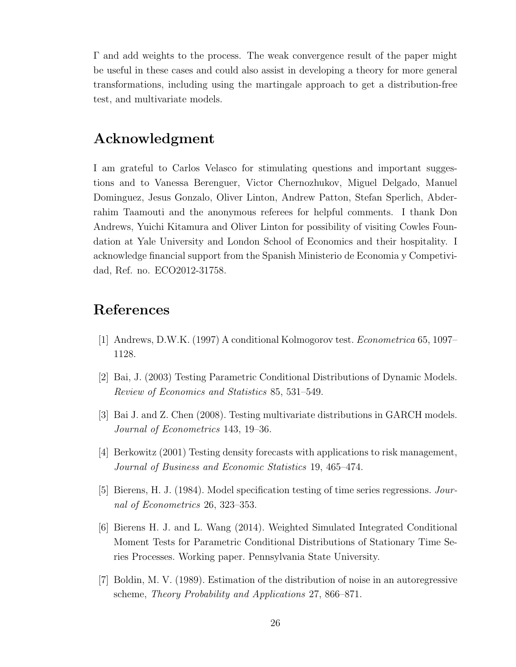Γ and add weights to the process. The weak convergence result of the paper might be useful in these cases and could also assist in developing a theory for more general transformations, including using the martingale approach to get a distribution-free test, and multivariate models.

## Acknowledgment

I am grateful to Carlos Velasco for stimulating questions and important suggestions and to Vanessa Berenguer, Victor Chernozhukov, Miguel Delgado, Manuel Dominguez, Jesus Gonzalo, Oliver Linton, Andrew Patton, Stefan Sperlich, Abderrahim Taamouti and the anonymous referees for helpful comments. I thank Don Andrews, Yuichi Kitamura and Oliver Linton for possibility of visiting Cowles Foundation at Yale University and London School of Economics and their hospitality. I acknowledge financial support from the Spanish Ministerio de Economia y Competividad, Ref. no. ECO2012-31758.

## References

- [1] Andrews, D.W.K. (1997) A conditional Kolmogorov test. Econometrica 65, 1097– 1128.
- [2] Bai, J. (2003) Testing Parametric Conditional Distributions of Dynamic Models. Review of Economics and Statistics 85, 531–549.
- [3] Bai J. and Z. Chen (2008). Testing multivariate distributions in GARCH models. Journal of Econometrics 143, 19–36.
- [4] Berkowitz (2001) Testing density forecasts with applications to risk management, Journal of Business and Economic Statistics 19, 465–474.
- [5] Bierens, H. J. (1984). Model specification testing of time series regressions. Journal of Econometrics 26, 323–353.
- [6] Bierens H. J. and L. Wang (2014). Weighted Simulated Integrated Conditional Moment Tests for Parametric Conditional Distributions of Stationary Time Series Processes. Working paper. Pennsylvania State University.
- [7] Boldin, M. V. (1989). Estimation of the distribution of noise in an autoregressive scheme, Theory Probability and Applications 27, 866–871.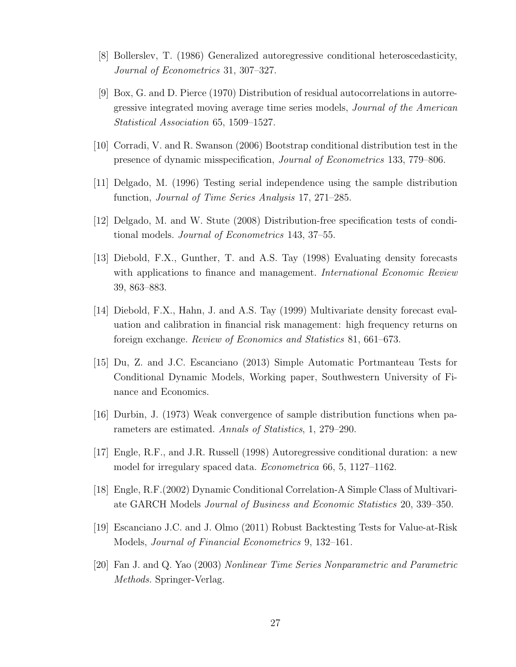- [8] Bollerslev, T. (1986) Generalized autoregressive conditional heteroscedasticity, Journal of Econometrics 31, 307–327.
- [9] Box, G. and D. Pierce (1970) Distribution of residual autocorrelations in autorregressive integrated moving average time series models, Journal of the American Statistical Association 65, 1509–1527.
- [10] Corradi, V. and R. Swanson (2006) Bootstrap conditional distribution test in the presence of dynamic misspecification, Journal of Econometrics 133, 779–806.
- [11] Delgado, M. (1996) Testing serial independence using the sample distribution function, Journal of Time Series Analysis 17, 271–285.
- [12] Delgado, M. and W. Stute (2008) Distribution-free specification tests of conditional models. Journal of Econometrics 143, 37–55.
- [13] Diebold, F.X., Gunther, T. and A.S. Tay (1998) Evaluating density forecasts with applications to finance and management. *International Economic Review* 39, 863–883.
- [14] Diebold, F.X., Hahn, J. and A.S. Tay (1999) Multivariate density forecast evaluation and calibration in financial risk management: high frequency returns on foreign exchange. Review of Economics and Statistics 81, 661–673.
- [15] Du, Z. and J.C. Escanciano (2013) Simple Automatic Portmanteau Tests for Conditional Dynamic Models, Working paper, Southwestern University of Finance and Economics.
- [16] Durbin, J. (1973) Weak convergence of sample distribution functions when parameters are estimated. Annals of Statistics, 1, 279–290.
- [17] Engle, R.F., and J.R. Russell (1998) Autoregressive conditional duration: a new model for irregulary spaced data. Econometrica 66, 5, 1127–1162.
- [18] Engle, R.F.(2002) Dynamic Conditional Correlation-A Simple Class of Multivariate GARCH Models Journal of Business and Economic Statistics 20, 339–350.
- [19] Escanciano J.C. and J. Olmo (2011) Robust Backtesting Tests for Value-at-Risk Models, Journal of Financial Econometrics 9, 132–161.
- [20] Fan J. and Q. Yao (2003) Nonlinear Time Series Nonparametric and Parametric Methods. Springer-Verlag.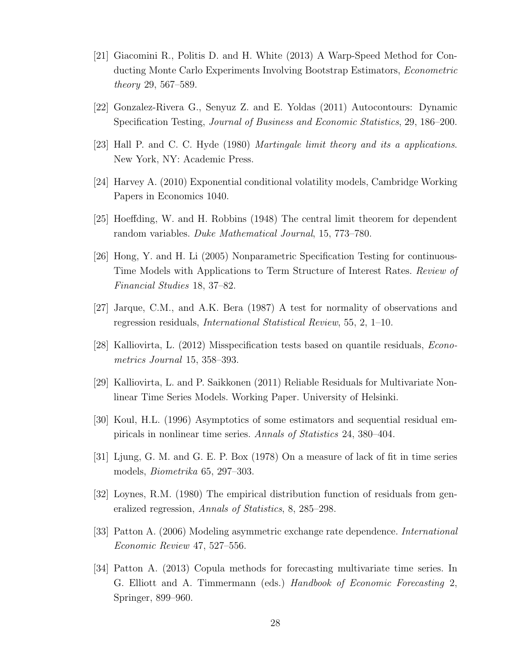- [21] Giacomini R., Politis D. and H. White (2013) A Warp-Speed Method for Conducting Monte Carlo Experiments Involving Bootstrap Estimators, Econometric theory 29, 567–589.
- [22] Gonzalez-Rivera G., Senyuz Z. and E. Yoldas (2011) Autocontours: Dynamic Specification Testing, Journal of Business and Economic Statistics, 29, 186–200.
- [23] Hall P. and C. C. Hyde (1980) Martingale limit theory and its a applications. New York, NY: Academic Press.
- [24] Harvey A. (2010) Exponential conditional volatility models, Cambridge Working Papers in Economics 1040.
- [25] Hoeffding, W. and H. Robbins (1948) The central limit theorem for dependent random variables. Duke Mathematical Journal, 15, 773–780.
- [26] Hong, Y. and H. Li (2005) Nonparametric Specification Testing for continuous-Time Models with Applications to Term Structure of Interest Rates. Review of Financial Studies 18, 37–82.
- [27] Jarque, C.M., and A.K. Bera (1987) A test for normality of observations and regression residuals, International Statistical Review, 55, 2, 1–10.
- [28] Kalliovirta, L. (2012) Misspecification tests based on quantile residuals, Econometrics Journal 15, 358–393.
- [29] Kalliovirta, L. and P. Saikkonen (2011) Reliable Residuals for Multivariate Nonlinear Time Series Models. Working Paper. University of Helsinki.
- [30] Koul, H.L. (1996) Asymptotics of some estimators and sequential residual empiricals in nonlinear time series. Annals of Statistics 24, 380–404.
- [31] Ljung, G. M. and G. E. P. Box (1978) On a measure of lack of fit in time series models, Biometrika 65, 297–303.
- [32] Loynes, R.M. (1980) The empirical distribution function of residuals from generalized regression, Annals of Statistics, 8, 285–298.
- [33] Patton A. (2006) Modeling asymmetric exchange rate dependence. International Economic Review 47, 527–556.
- [34] Patton A. (2013) Copula methods for forecasting multivariate time series. In G. Elliott and A. Timmermann (eds.) Handbook of Economic Forecasting 2, Springer, 899–960.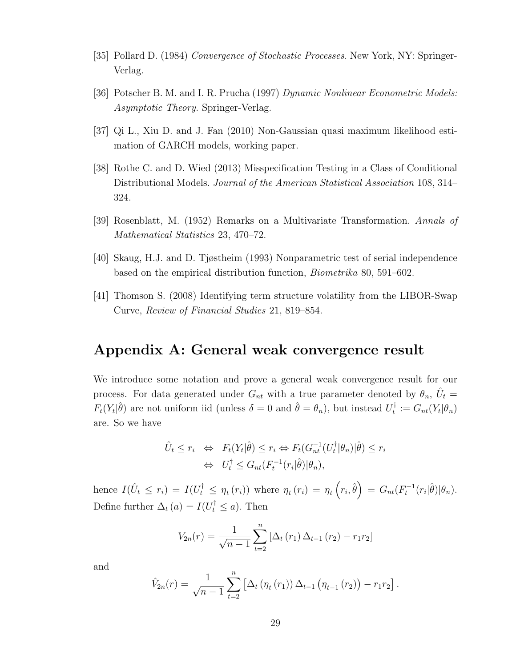- [35] Pollard D. (1984) Convergence of Stochastic Processes. New York, NY: Springer-Verlag.
- [36] Potscher B. M. and I. R. Prucha (1997) Dynamic Nonlinear Econometric Models: Asymptotic Theory. Springer-Verlag.
- [37] Qi L., Xiu D. and J. Fan (2010) Non-Gaussian quasi maximum likelihood estimation of GARCH models, working paper.
- [38] Rothe C. and D. Wied (2013) Misspecification Testing in a Class of Conditional Distributional Models. Journal of the American Statistical Association 108, 314– 324.
- [39] Rosenblatt, M. (1952) Remarks on a Multivariate Transformation. Annals of Mathematical Statistics 23, 470–72.
- [40] Skaug, H.J. and D. Tjøstheim (1993) Nonparametric test of serial independence based on the empirical distribution function, Biometrika 80, 591–602.
- [41] Thomson S. (2008) Identifying term structure volatility from the LIBOR-Swap Curve, Review of Financial Studies 21, 819–854.

## Appendix A: General weak convergence result

We introduce some notation and prove a general weak convergence result for our process. For data generated under  $G_{nt}$  with a true parameter denoted by  $\theta_n$ ,  $\hat{U}_t$  $F_t(Y_t|\hat{\theta})$  are not uniform iid (unless  $\delta = 0$  and  $\hat{\theta} = \theta_n$ ), but instead  $U_t^{\dagger}$  $t^{\dagger}:=G_{nt}(Y_t|\theta_n)$ are. So we have

$$
\hat{U}_t \le r_i \Leftrightarrow F_t(Y_t|\hat{\theta}) \le r_i \Leftrightarrow F_t(G_{nt}^{-1}(U_t^{\dagger}|\theta_n)|\hat{\theta}) \le r_i
$$
  

$$
\Leftrightarrow U_t^{\dagger} \le G_{nt}(F_t^{-1}(r_i|\hat{\theta})|\theta_n),
$$

hence  $I(\hat{U}_t \leq r_i) = I(U_t^{\dagger} \leq \eta_t(r_i))$  where  $\eta_t(r_i) = \eta_t\left(r_i, \hat{\theta}\right) = G_{nt}(F_t^{-1}(r_i|\hat{\theta})|\theta_n)$ . Define further  $\Delta_t(a) = I(U_t^{\dagger} \leq a)$ . Then

$$
V_{2n}(r) = \frac{1}{\sqrt{n-1}} \sum_{t=2}^{n} \left[ \Delta_t(r_1) \Delta_{t-1}(r_2) - r_1 r_2 \right]
$$

and

$$
\hat{V}_{2n}(r) = \frac{1}{\sqrt{n-1}} \sum_{t=2}^{n} \left[ \Delta_t \left( \eta_t(r_1) \right) \Delta_{t-1} \left( \eta_{t-1}(r_2) \right) - r_1 r_2 \right].
$$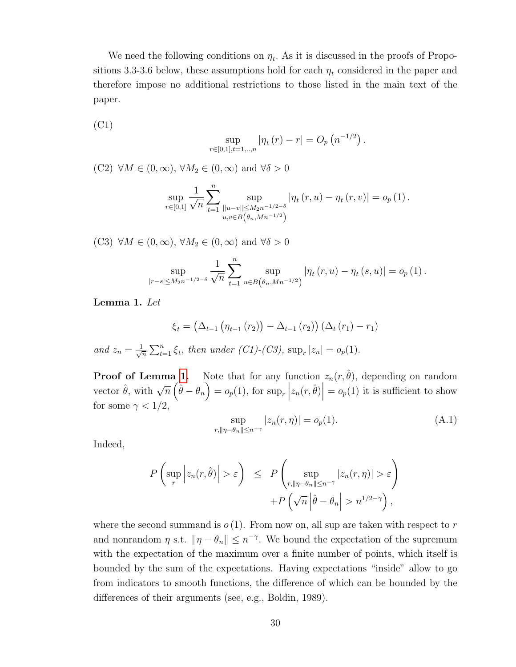We need the following conditions on  $\eta_t$ . As it is discussed in the proofs of Propositions 3.3-3.6 below, these assumptions hold for each  $\eta_t$  considered in the paper and therefore impose no additional restrictions to those listed in the main text of the paper.

(C1)

$$
\sup_{r \in [0,1], t=1,\dots,n} |\eta_t(r) - r| = O_p\left(n^{-1/2}\right).
$$

(C2)  $\forall M \in (0, \infty), \forall M_2 \in (0, \infty)$  and  $\forall \delta > 0$ 

$$
\sup_{r \in [0,1]} \frac{1}{\sqrt{n}} \sum_{t=1}^{n} \sup_{\substack{||u-v|| \le M_2 n^{-1/2-\delta} \\ u,v \in B(\theta_n, Mn^{-1/2})}} |\eta_t(r,u) - \eta_t(r,v)| = o_p(1).
$$

(C3)  $\forall M \in (0, \infty), \forall M_2 \in (0, \infty)$  and  $\forall \delta > 0$ 

$$
\sup_{|r-s| \le M_2 n^{-1/2-\delta}} \frac{1}{\sqrt{n}} \sum_{t=1}^n \sup_{u \in B(\theta_n, M n^{-1/2})} |\eta_t(r, u) - \eta_t(s, u)| = o_p(1).
$$

<span id="page-30-0"></span>Lemma 1. Let

$$
\xi_t = (\Delta_{t-1} (\eta_{t-1} (r_2)) - \Delta_{t-1} (r_2)) (\Delta_t (r_1) - r_1)
$$
  
=  $\frac{1}{\sqrt{n}} \sum_{t=1}^n \xi_t$ , then under (C1)-(C3), sup<sub>r</sub> |z<sub>n</sub>| = o<sub>p</sub>(1).

**Proof of Lemma [1.](#page-30-0)** Note that for any function  $z_n(r, \hat{\theta})$ , depending on random vector  $\hat{\theta}$ , with  $\sqrt{n}(\hat{\theta} - \theta_n) = o_p(1)$ , for sup<sub>r</sub>  $z_n(r, \hat{\theta})$  =  $o_p(1)$  it is sufficient to show for some  $\gamma < 1/2$ ,

<span id="page-30-1"></span>
$$
\sup_{r, \|\eta - \theta_n\| \le n^{-\gamma}} |z_n(r, \eta)| = o_p(1). \tag{A.1}
$$

Indeed,

and  $z_n$ 

$$
P\left(\sup_{r} \left| z_n(r,\hat{\theta}) \right| > \varepsilon \right) \le P\left(\sup_{r, \|\eta - \theta_n\| \le n^{-\gamma}} |z_n(r,\eta)| > \varepsilon \right) + P\left(\sqrt{n} \left|\hat{\theta} - \theta_n\right| > n^{1/2-\gamma}\right),
$$

where the second summand is  $o(1)$ . From now on, all sup are taken with respect to r and nonrandom  $\eta$  s.t.  $\|\eta - \theta_n\| \leq n^{-\gamma}$ . We bound the expectation of the supremum with the expectation of the maximum over a finite number of points, which itself is bounded by the sum of the expectations. Having expectations "inside" allow to go from indicators to smooth functions, the difference of which can be bounded by the differences of their arguments (see, e.g., Boldin, 1989).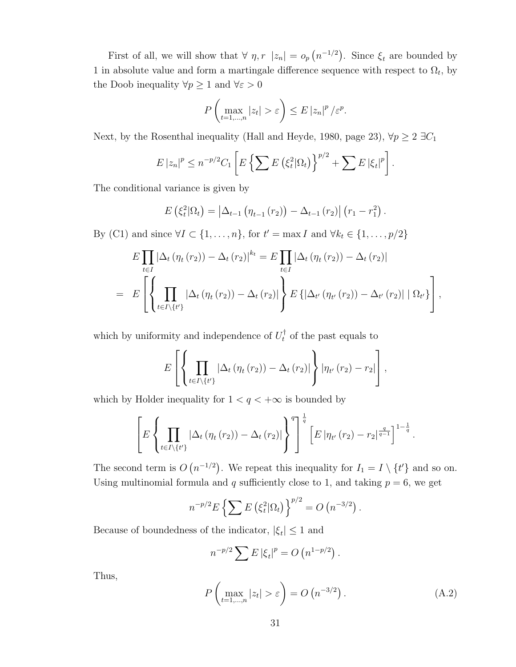First of all, we will show that  $\forall \eta, r \mid z_n$  =  $o_p(n^{-1/2})$ . Since  $\xi_t$  are bounded by 1 in absolute value and form a martingale difference sequence with respect to  $\Omega_t$ , by the Doob inequality  $\forall p\geq 1$  and  $\forall \varepsilon>0$ 

$$
P\left(\max_{t=1,\dots,n}|z_t|>\varepsilon\right)\leq E\left|z_n\right|^p/\varepsilon^p.
$$

Next, by the Rosenthal inequality (Hall and Heyde, 1980, page 23),  $\forall p \geq 2 \exists C_1$ 

$$
E |z_n|^p \le n^{-p/2} C_1 \left[ E \left\{ \sum E \left( \xi_t^2 | \Omega_t \right) \right\}^{p/2} + \sum E |\xi_t|^p \right]
$$

.

The conditional variance is given by

$$
E\left(\xi_t^2|\Omega_t\right) = \left|\Delta_{t-1}\left(\eta_{t-1}\left(r_2\right)\right) - \Delta_{t-1}\left(r_2\right)\right| \left(r_1 - r_1^2\right).
$$

By (C1) and since  $\forall I \subset \{1, ..., n\}$ , for  $t' = \max I$  and  $\forall k_t \in \{1, ..., p/2\}$ 

$$
E\prod_{t\in I} |\Delta_t(\eta_t(r_2)) - \Delta_t(r_2)|^{k_t} = E\prod_{t\in I} |\Delta_t(\eta_t(r_2)) - \Delta_t(r_2)|
$$
  
= 
$$
E\left[\left\{\prod_{t\in I\setminus\{t'\}} |\Delta_t(\eta_t(r_2)) - \Delta_t(r_2)|\right\} E\left\{|\Delta_{t'}(\eta_{t'}(r_2)) - \Delta_{t'}(r_2)| | \Omega_{t'}\right\}\right],
$$

which by uniformity and independence of  $U_t^{\dagger}$  of the past equals to

$$
E\left[\left\{\prod_{t\in I\setminus\{t'\}}|\Delta_t(\eta_t(r_2))-\Delta_t(r_2)|\right\}|\eta_{t'}(r_2)-r_2|\right],
$$

which by Holder inequality for  $1 < q < +\infty$  is bounded by

$$
\left[E\left\{\prod_{t\in I\setminus\{t'\}}|\Delta_t(\eta_t(r_2))-\Delta_t(r_2)|\right\}^q\right]^{\frac{1}{q}}\left[E\left|\eta_{t'}(r_2)-r_2\right|^{\frac{q}{q-1}}\right]^{1-\frac{1}{q}}.
$$

The second term is  $O(n^{-1/2})$ . We repeat this inequality for  $I_1 = I \setminus \{t'\}$  and so on. Using multinomial formula and q sufficiently close to 1, and taking  $p = 6$ , we get

$$
n^{-p/2} E\left\{ \sum E\left(\xi_t^2 | \Omega_t\right) \right\}^{p/2} = O\left(n^{-3/2}\right).
$$

Because of boundedness of the indicator,  $|\xi_t| \leq 1$  and

$$
n^{-p/2} \sum E |\xi_t|^p = O(n^{1-p/2}).
$$

Thus,

<span id="page-31-0"></span>
$$
P\left(\max_{t=1,\dots,n}|z_t|>\varepsilon\right) = O\left(n^{-3/2}\right). \tag{A.2}
$$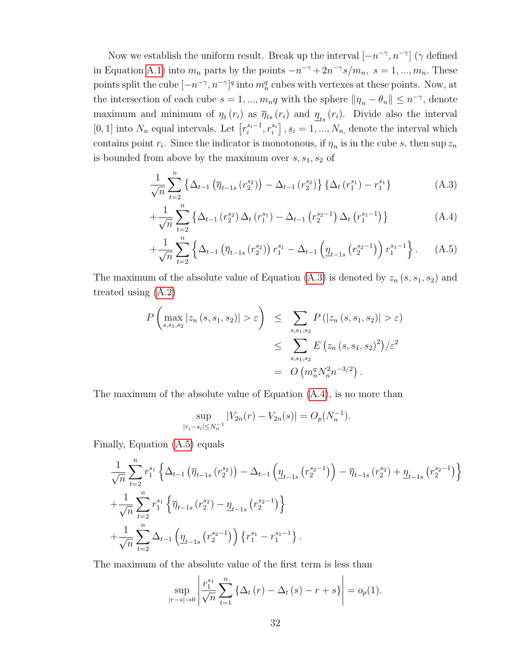Now we establish the uniform result. Break up the interval  $[-n^{-\gamma}, n^{-\gamma}]$  ( $\gamma$  defined in Equation [A.1\)](#page-30-1) into  $m_n$  parts by the points  $-n^{-\gamma} + 2n^{-\gamma} s/m_n$ ,  $s = 1, ..., m_n$ . These points split the cube  $[-n^{-\gamma}, n^{-\gamma}]^q$  into  $m_n^q$  cubes with vertexes at these points. Now, at the intersection of each cube  $s = 1, ..., m_n q$  with the sphere  $\|\eta_n - \theta_n\| \leq n^{-\gamma}$ , denote maximum and minimum of  $\eta_t(r_i)$  as  $\overline{\eta}_{ts}(r_i)$  and  $\underline{\eta}_{ts}(r_i)$ . Divide also the interval [0, 1] into  $N_n$  equal intervals. Let  $\left[ r_i^{s_i-1}, r_i^{s_i} \right]$ ,  $s_i = 1, ..., N_n$ , denote the interval which contains point  $r_i$ . Since the indicator is monotonous, if  $\eta_n$  is in the cube s, then sup  $z_n$ is bounded from above by the maximum over  $s, s_1, s_2$  of

$$
\frac{1}{\sqrt{n}}\sum_{t=2}^{n} \left\{ \Delta_{t-1} \left( \overline{\eta}_{t-1s} \left( r_2^{s_2} \right) \right) - \Delta_{t-1} \left( r_2^{s_2} \right) \right\} \left\{ \Delta_t \left( r_1^{s_1} \right) - r_1^{s_1} \right\} \tag{A.3}
$$

<span id="page-32-0"></span>
$$
+\frac{1}{\sqrt{n}}\sum_{t=2}^{n}\left\{\Delta_{t-1}\left(r_{2}^{s_{2}}\right)\Delta_{t}\left(r_{1}^{s_{1}}\right)-\Delta_{t-1}\left(r_{2}^{s_{2}-1}\right)\Delta_{t}\left(r_{1}^{s_{1}-1}\right)\right\}\tag{A.4}
$$

$$
+\frac{1}{\sqrt{n}}\sum_{t=2}^{n}\left\{\Delta_{t-1}\left(\overline{\eta}_{t-1 s}\left(r_{2}^{s_{2}}\right)\right)r_{1}^{s_{1}}-\Delta_{t-1}\left(\underline{\eta}_{t-1 s}\left(r_{2}^{s_{2}-1}\right)\right)r_{1}^{s_{1}-1}\right\}.\tag{A.5}
$$

The maximum of the absolute value of Equation [\(A.3\)](#page-32-0) is denoted by  $z_n$  (s, s<sub>1</sub>, s<sub>2</sub>) and treated using [\(A.2\)](#page-31-0)

$$
P\left(\max_{s,s_1,s_2} |z_n(s,s_1,s_2)| > \varepsilon\right) \le \sum_{s,s_1,s_2} P\left(|z_n(s,s_1,s_2)| > \varepsilon\right)
$$
  

$$
\le \sum_{s,s_1,s_2} E\left(z_n(s,s_1,s_2)^2\right) / \varepsilon^2
$$
  

$$
= O\left(m_n^q N_n^2 n^{-3/2}\right).
$$

The maximum of the absolute value of Equation [\(A.4\)](#page-32-0), is no more than

$$
\sup_{|r_i - s_i| \le N_n^{-1}} |V_{2n}(r) - V_{2n}(s)| = O_p(N_n^{-1}).
$$

Finally, Equation [\(A.5\)](#page-32-0) equals

$$
\frac{1}{\sqrt{n}} \sum_{t=2}^{n} r_1^{s_1} \left\{ \Delta_{t-1} \left( \overline{\eta}_{t-1s} \left( r_2^{s_2} \right) \right) - \Delta_{t-1} \left( \underline{\eta}_{t-1s} \left( r_2^{s_2 - 1} \right) \right) - \overline{\eta}_{t-1s} \left( r_2^{s_2} \right) + \underline{\eta}_{t-1s} \left( r_2^{s_2 - 1} \right) \right\} \n+ \frac{1}{\sqrt{n}} \sum_{t=2}^{n} r_1^{s_1} \left\{ \overline{\eta}_{t-1s} \left( r_2^{s_2} \right) - \underline{\eta}_{t-1s} \left( r_2^{s_2 - 1} \right) \right\} \n+ \frac{1}{\sqrt{n}} \sum_{t=2}^{n} \Delta_{t-1} \left( \underline{\eta}_{t-1s} \left( r_2^{s_2 - 1} \right) \right) \left\{ r_1^{s_1} - r_1^{s_1 - 1} \right\}.
$$

The maximum of the absolute value of the first term is less than

$$
\sup_{|r-s|\to 0} \left| \frac{r_1^{s_1}}{\sqrt{n}} \sum_{t=1}^n \left\{ \Delta_t \left( r \right) - \Delta_t \left( s \right) - r + s \right\} \right| = o_p(1).
$$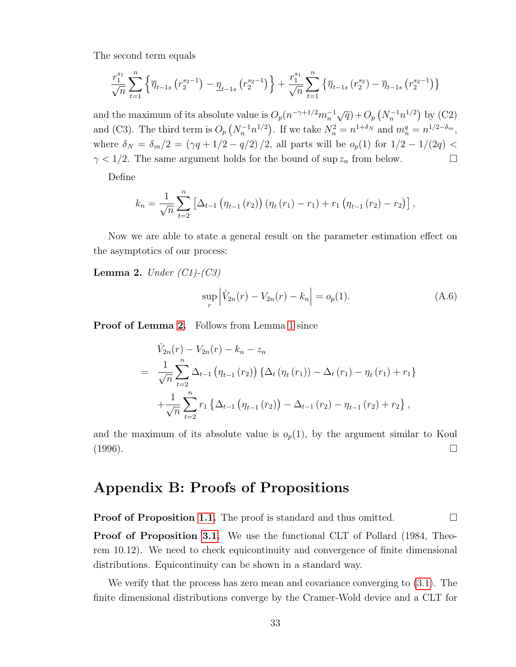The second term equals

$$
\frac{r_1^{s_1}}{\sqrt{n}} \sum_{t=1}^n \left\{ \overline{\eta}_{t-1s} \left( r_2^{s_2-1} \right) - \underline{\eta}_{t-1s} \left( r_2^{s_2-1} \right) \right\} + \frac{r_1^{s_1}}{\sqrt{n}} \sum_{t=1}^n \left\{ \overline{\eta}_{t-1s} \left( r_2^{s_2} \right) - \overline{\eta}_{t-1s} \left( r_2^{s_2-1} \right) \right\}
$$

and the maximum of its absolute value is  $O_p(n^{-\gamma+1/2}m_n^{-1}\sqrt{q})+O_p(N_n^{-1}n^{1/2})$  by (C2) and (C3). The third term is  $O_p(N_n^{-1}n^{1/2})$ . If we take  $N_n^2 = n^{1+\delta_N}$  and  $m_n^q = n^{1/2-\delta_m}$ , where  $\delta_N = \delta_m/2 = (\gamma q + 1/2 - q/2)/2$ , all parts will be  $o_p(1)$  for  $1/2 - 1/(2q)$  $\gamma$  < 1/2. The same argument holds for the bound of sup  $z_n$  from below.

Define

$$
k_n = \frac{1}{\sqrt{n}} \sum_{t=2}^n \left[ \Delta_{t-1} \left( \eta_{t-1} (r_2) \right) \left( \eta_t (r_1) - r_1 \right) + r_1 \left( \eta_{t-1} (r_2) - r_2 \right) \right],
$$

Now we are able to state a general result on the parameter estimation effect on the asymptotics of our process:

<span id="page-33-0"></span>**Lemma 2.** Under  $(Cl)$ - $(C3)$ 

$$
\sup_{r} \left| \hat{V}_{2n}(r) - V_{2n}(r) - k_n \right| = o_p(1).
$$
 (A.6)

Proof of Lemma [2.](#page-33-0) Follows from Lemma [1](#page-30-0) since

$$
\hat{V}_{2n}(r) - V_{2n}(r) - k_n - z_n
$$
\n
$$
= \frac{1}{\sqrt{n}} \sum_{t=2}^n \Delta_{t-1} \left( \eta_{t-1}(r_2) \right) \left\{ \Delta_t \left( \eta_t(r_1) \right) - \Delta_t \left( r_1 \right) - \eta_t \left( r_1 \right) + r_1 \right\}
$$
\n
$$
+ \frac{1}{\sqrt{n}} \sum_{t=2}^n r_1 \left\{ \Delta_{t-1} \left( \eta_{t-1}(r_2) \right) - \Delta_{t-1} \left( r_2 \right) - \eta_{t-1} \left( r_2 \right) + r_2 \right\},
$$

and the maximum of its absolute value is  $o_p(1)$ , by the argument similar to Koul  $(1996)$ .

## Appendix B: Proofs of Propositions

**Proof of Proposition [1.1.](#page-3-1)** The proof is standard and thus omitted.  $\Box$ 

Proof of Proposition [3.1.](#page-3-1) We use the functional CLT of Pollard (1984, Theorem 10.12). We need to check equicontinuity and convergence of finite dimensional distributions. Equicontinuity can be shown in a standard way.

We verify that the process has zero mean and covariance converging to [\(3.1\)](#page-10-0). The finite dimensional distributions converge by the Cramer-Wold device and a CLT for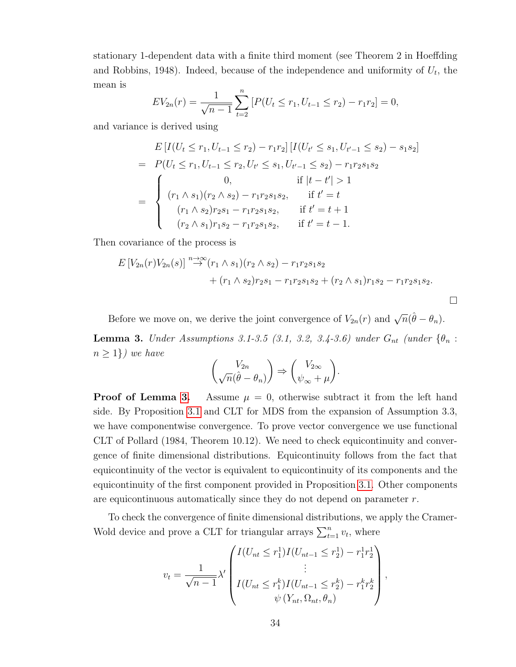stationary 1-dependent data with a finite third moment (see Theorem 2 in Hoeffding and Robbins, 1948). Indeed, because of the independence and uniformity of  $U_t$ , the mean is

$$
EV_{2n}(r) = \frac{1}{\sqrt{n-1}} \sum_{t=2}^{n} \left[ P(U_t \le r_1, U_{t-1} \le r_2) - r_1 r_2 \right] = 0,
$$

and variance is derived using

$$
E\left[I(U_t \le r_1, U_{t-1} \le r_2) - r_1r_2\right] \left[I(U_{t'} \le s_1, U_{t'-1} \le s_2) - s_1s_2\right]
$$
  
\n
$$
= P(U_t \le r_1, U_{t-1} \le r_2, U_{t'} \le s_1, U_{t'-1} \le s_2) - r_1r_2s_1s_2
$$
  
\n
$$
= \begin{cases}\n0, & \text{if } |t-t'| > 1 \\
(r_1 \wedge s_1)(r_2 \wedge s_2) - r_1r_2s_1s_2, & \text{if } t' = t \\
(r_1 \wedge s_2)r_2s_1 - r_1r_2s_1s_2, & \text{if } t' = t + 1 \\
(r_2 \wedge s_1)r_1s_2 - r_1r_2s_1s_2, & \text{if } t' = t - 1.\n\end{cases}
$$

Then covariance of the process is

$$
E[V_{2n}(r)V_{2n}(s)] \stackrel{n \to \infty}{\to} (r_1 \wedge s_1)(r_2 \wedge s_2) - r_1r_2s_1s_2 + (r_1 \wedge s_2)r_2s_1 - r_1r_2s_1s_2 + (r_2 \wedge s_1)r_1s_2 - r_1r_2s_1s_2.
$$

 $\Box$ 

<span id="page-34-0"></span>Before we move on, we derive the joint convergence of  $V_{2n}(r)$  and  $\sqrt{n}(\hat{\theta}-\theta_n)$ . **Lemma 3.** Under Assumptions 3.1-3.5 (3.1, 3.2, 3.4-3.6) under  $G_{nt}$  (under  $\{\theta_n :$  $n \geq 1$ ) we have

$$
\binom{V_{2n}}{\sqrt{n}(\hat{\theta}-\theta_n)} \Rightarrow \binom{V_{2\infty}}{\psi_{\infty}+\mu}.
$$

**Proof of Lemma [3.](#page-34-0)** Assume  $\mu = 0$ , otherwise subtract it from the left hand side. By Proposition [3.1](#page-3-1) and CLT for MDS from the expansion of Assumption 3.3, we have componentwise convergence. To prove vector convergence we use functional CLT of Pollard (1984, Theorem 10.12). We need to check equicontinuity and convergence of finite dimensional distributions. Equicontinuity follows from the fact that equicontinuity of the vector is equivalent to equicontinuity of its components and the equicontinuity of the first component provided in Proposition [3.1.](#page-3-1) Other components are equicontinuous automatically since they do not depend on parameter  $r$ .

To check the convergence of finite dimensional distributions, we apply the Cramer-Wold device and prove a CLT for triangular arrays  $\sum_{t=1}^{n} v_t$ , where

$$
v_t = \frac{1}{\sqrt{n-1}} \lambda' \begin{pmatrix} I(U_{nt} \leq r_1^1) I(U_{nt-1} \leq r_2^1) - r_1^1 r_2^1 \\ \vdots \\ I(U_{nt} \leq r_1^k) I(U_{nt-1} \leq r_2^k) - r_1^k r_2^k \\ \psi(Y_{nt}, \Omega_{nt}, \theta_n) \end{pmatrix},
$$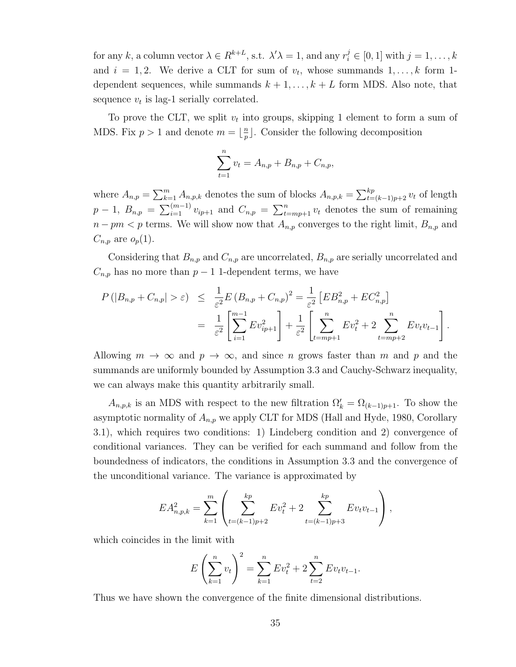for any k, a column vector  $\lambda \in R^{k+L}$ , s.t.  $\lambda' \lambda = 1$ , and any  $r_i^j \in [0, 1]$  with  $j = 1, ..., k$ and  $i = 1, 2$ . We derive a CLT for sum of  $v_t$ , whose summands  $1, \ldots, k$  form 1dependent sequences, while summands  $k + 1, \ldots, k + L$  form MDS. Also note, that sequence  $v_t$  is lag-1 serially correlated.

To prove the CLT, we split  $v_t$  into groups, skipping 1 element to form a sum of MDS. Fix  $p > 1$  and denote  $m = \frac{p}{n}$  $\frac{n}{p}$ . Consider the following decomposition

$$
\sum_{t=1}^{n} v_t = A_{n,p} + B_{n,p} + C_{n,p},
$$

where  $A_{n,p} = \sum_{k=1}^{m} A_{n,p,k}$  denotes the sum of blocks  $A_{n,p,k} = \sum_{t=(k-1)p+2}^{kp} v_t$  of length  $p-1, B_{n,p} = \sum_{i=1}^{(m-1)} v_{ip+1}$  and  $C_{n,p} = \sum_{t=mp+1}^{n} v_t$  denotes the sum of remaining  $n - pm < p$  terms. We will show now that  $A_{n,p}$  converges to the right limit,  $B_{n,p}$  and  $C_{n,p}$  are  $o_p(1)$ .

Considering that  $B_{n,p}$  and  $C_{n,p}$  are uncorrelated,  $B_{n,p}$  are serially uncorrelated and  $C_{n,p}$  has no more than  $p-1$  1-dependent terms, we have

$$
P(|B_{n,p} + C_{n,p}| > \varepsilon) \leq \frac{1}{\varepsilon^2} E(B_{n,p} + C_{n,p})^2 = \frac{1}{\varepsilon^2} \left[ E B_{n,p}^2 + E C_{n,p}^2 \right]
$$
  
= 
$$
\frac{1}{\varepsilon^2} \left[ \sum_{i=1}^{m-1} E v_{ip+1}^2 \right] + \frac{1}{\varepsilon^2} \left[ \sum_{t=mp+1}^n E v_t^2 + 2 \sum_{t=mp+2}^n E v_t v_{t-1} \right].
$$

Allowing  $m \to \infty$  and  $p \to \infty$ , and since n grows faster than m and p and the summands are uniformly bounded by Assumption 3.3 and Cauchy-Schwarz inequality, we can always make this quantity arbitrarily small.

 $A_{n,p,k}$  is an MDS with respect to the new filtration  $\Omega'_{k} = \Omega_{(k-1)p+1}$ . To show the asymptotic normality of  $A_{n,p}$  we apply CLT for MDS (Hall and Hyde, 1980, Corollary 3.1), which requires two conditions: 1) Lindeberg condition and 2) convergence of conditional variances. They can be verified for each summand and follow from the boundedness of indicators, the conditions in Assumption 3.3 and the convergence of the unconditional variance. The variance is approximated by

$$
EA_{n,p,k}^2 = \sum_{k=1}^m \left( \sum_{t=(k-1)p+2}^{kp} Ev_t^2 + 2 \sum_{t=(k-1)p+3}^{kp} Ev_t v_{t-1} \right),
$$

which coincides in the limit with

$$
E\left(\sum_{k=1}^{n} v_t\right)^2 = \sum_{k=1}^{n} E v_t^2 + 2 \sum_{t=2}^{n} E v_t v_{t-1}.
$$

Thus we have shown the convergence of the finite dimensional distributions.